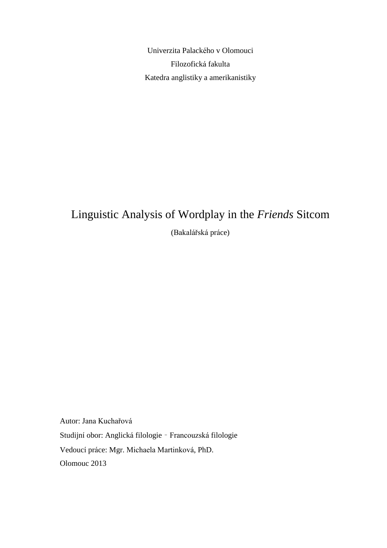Univerzita Palackého v Olomouci Filozofická fakulta Katedra anglistiky a amerikanistiky

# Linguistic Analysis of Wordplay in the *Friends* Sitcom (Bakalářská práce)

Autor: Jana Kuchařová Studijní obor: Anglická filologie – Francouzská filologie Vedoucí práce: Mgr. Michaela Martinková, PhD. Olomouc 2013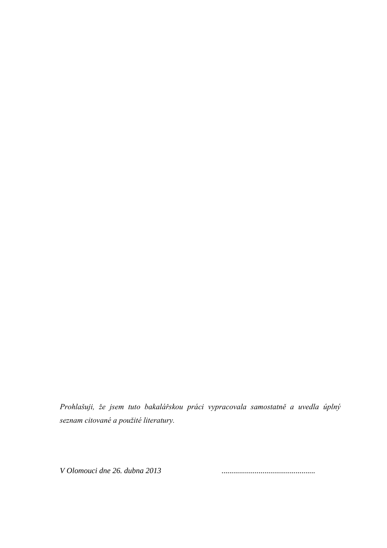*Prohlašuji, že jsem tuto bakalářskou práci vypracovala samostatně a uvedla úplný seznam citované a použité literatury.*

*V Olomouci dne 26. dubna 2013 ................................................*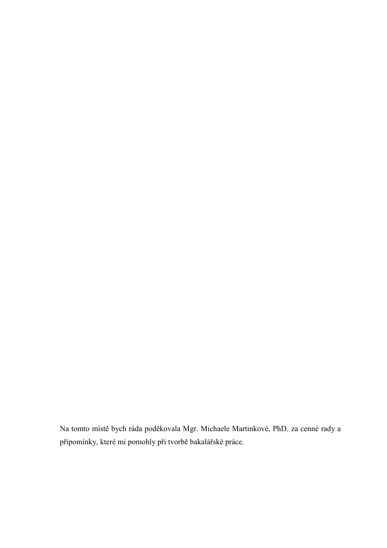Na tomto místě bych ráda poděkovala Mgr. Michaele Martinkové, PhD. za cenné rady a připomínky, které mi pomohly při tvorbě bakalářské práce.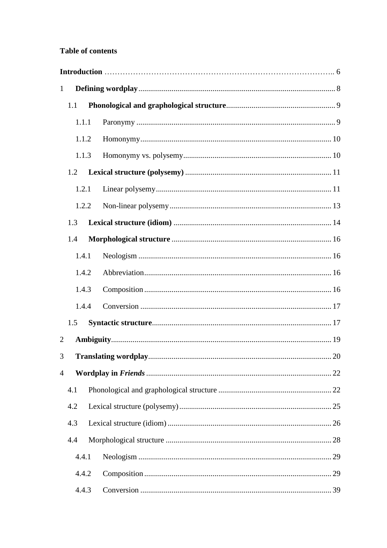# **Table of contents**

| 1              |       |  |  |
|----------------|-------|--|--|
|                | 1.1   |  |  |
|                | 1.1.1 |  |  |
|                | 1.1.2 |  |  |
|                | 1.1.3 |  |  |
|                | 1.2   |  |  |
|                | 1.2.1 |  |  |
|                | 1.2.2 |  |  |
|                | 1.3   |  |  |
|                | 1.4   |  |  |
|                | 1.4.1 |  |  |
|                | 1.4.2 |  |  |
|                | 1.4.3 |  |  |
|                | 1.4.4 |  |  |
|                | 1.5   |  |  |
| $\overline{2}$ |       |  |  |
| 3              |       |  |  |
| $\overline{4}$ |       |  |  |
|                | 4.1   |  |  |
|                | 4.2   |  |  |
|                | 4.3   |  |  |
|                | 4.4   |  |  |
|                | 4.4.1 |  |  |
|                | 4.4.2 |  |  |
|                | 4.4.3 |  |  |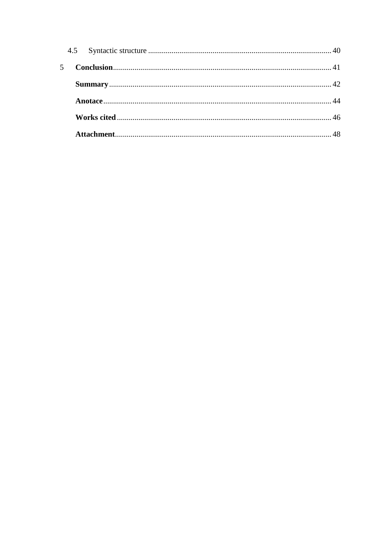| $5 -$ |  |  |
|-------|--|--|
|       |  |  |
|       |  |  |
|       |  |  |
|       |  |  |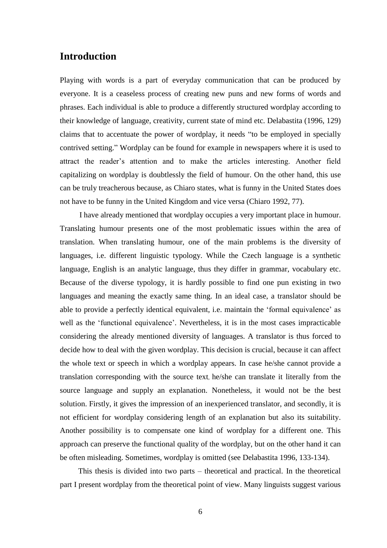# **Introduction**

Playing with words is a part of everyday communication that can be produced by everyone. It is a ceaseless process of creating new puns and new forms of words and phrases. Each individual is able to produce a differently structured wordplay according to their knowledge of language, creativity, current state of mind etc. Delabastita (1996, 129) claims that to accentuate the power of wordplay, it needs "to be employed in specially contrived setting." Wordplay can be found for example in newspapers where it is used to attract the reader's attention and to make the articles interesting. Another field capitalizing on wordplay is doubtlessly the field of humour. On the other hand, this use can be truly treacherous because, as Chiaro states, what is funny in the United States does not have to be funny in the United Kingdom and vice versa (Chiaro 1992, 77).

 I have already mentioned that wordplay occupies a very important place in humour. Translating humour presents one of the most problematic issues within the area of translation. When translating humour, one of the main problems is the diversity of languages, i.e. different linguistic typology. While the Czech language is a synthetic language, English is an analytic language, thus they differ in grammar, vocabulary etc. Because of the diverse typology, it is hardly possible to find one pun existing in two languages and meaning the exactly same thing. In an ideal case, a translator should be able to provide a perfectly identical equivalent, i.e. maintain the 'formal equivalence' as well as the 'functional equivalence'. Nevertheless, it is in the most cases impracticable considering the already mentioned diversity of languages. A translator is thus forced to decide how to deal with the given wordplay. This decision is crucial, because it can affect the whole text or speech in which a wordplay appears. In case he/she cannot provide a translation corresponding with the source text, he/she can translate it literally from the source language and supply an explanation. Nonetheless, it would not be the best solution. Firstly, it gives the impression of an inexperienced translator, and secondly, it is not efficient for wordplay considering length of an explanation but also its suitability. Another possibility is to compensate one kind of wordplay for a different one. This approach can preserve the functional quality of the wordplay, but on the other hand it can be often misleading. Sometimes, wordplay is omitted (see Delabastita 1996, 133-134).

This thesis is divided into two parts – theoretical and practical. In the theoretical part I present wordplay from the theoretical point of view. Many linguists suggest various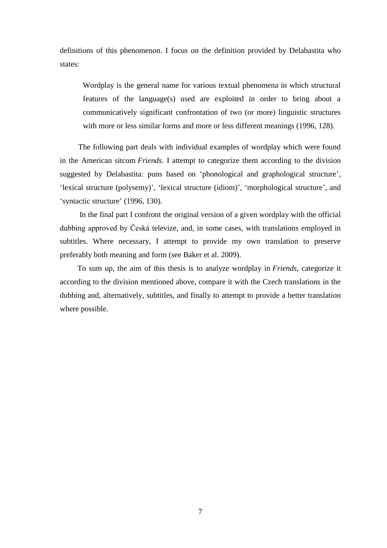definitions of this phenomenon. I focus on the definition provided by Delabastita who states:

Wordplay is the general name for various textual phenomena in which structural features of the language(s) used are exploited in order to bring about a communicatively significant confrontation of two (or more) linguistic structures with more or less similar forms and more or less different meanings (1996, 128).

The following part deals with individual examples of wordplay which were found in the American sitcom *Friends*. I attempt to categorize them according to the division suggested by Delabastita: puns based on 'phonological and graphological structure', 'lexical structure (polysemy)', 'lexical structure (idiom)', 'morphological structure', and 'syntactic structure' (1996, 130).

 In the final part I confront the original version of a given wordplay with the official dubbing approved by Česká televize, and, in some cases, with translations employed in subtitles. Where necessary, I attempt to provide my own translation to preserve preferably both meaning and form (see Baker et al. 2009).

 To sum up, the aim of this thesis is to analyze wordplay in *Friends*, categorize it according to the division mentioned above, compare it with the Czech translations in the dubbing and, alternatively, subtitles, and finally to attempt to provide a better translation where possible.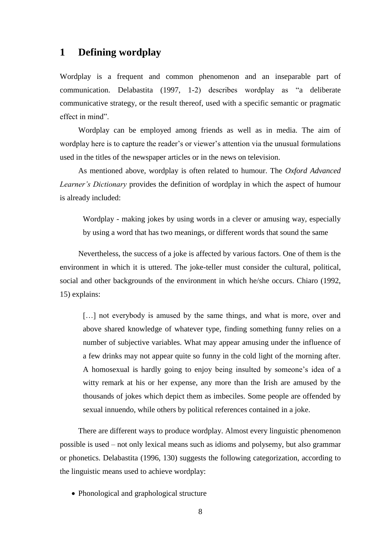# <span id="page-7-0"></span>**1 Defining wordplay**

Wordplay is a frequent and common phenomenon and an inseparable part of communication. Delabastita (1997, 1-2) describes wordplay as "a deliberate communicative strategy, or the result thereof, used with a specific semantic or pragmatic effect in mind".

Wordplay can be employed among friends as well as in media. The aim of wordplay here is to capture the reader's or viewer's attention via the unusual formulations used in the titles of the newspaper articles or in the news on television.

As mentioned above, wordplay is often related to humour. The *Oxford Advanced Learner's Dictionary* provides the definition of wordplay in which the aspect of humour is already included:

Wordplay - making jokes by using words in a clever or amusing way, especially by using a word that has two meanings, or different words that sound the same

Nevertheless, the success of a joke is affected by various factors. One of them is the environment in which it is uttered. The joke-teller must consider the cultural, political, social and other backgrounds of the environment in which he/she occurs. Chiaro (1992, 15) explains:

[...] not everybody is amused by the same things, and what is more, over and above shared knowledge of whatever type, finding something funny relies on a number of subjective variables. What may appear amusing under the influence of a few drinks may not appear quite so funny in the cold light of the morning after. A homosexual is hardly going to enjoy being insulted by someone's idea of a witty remark at his or her expense, any more than the Irish are amused by the thousands of jokes which depict them as imbeciles. Some people are offended by sexual innuendo, while others by political references contained in a joke.

There are different ways to produce wordplay. Almost every linguistic phenomenon possible is used – not only lexical means such as idioms and polysemy, but also grammar or phonetics. Delabastita (1996, 130) suggests the following categorization, according to the linguistic means used to achieve wordplay:

• Phonological and graphological structure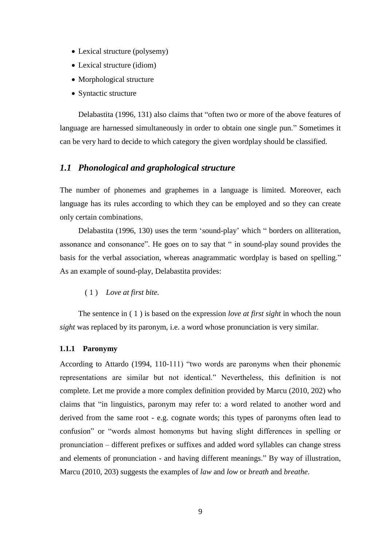- Lexical structure (polysemy)
- Lexical structure (idiom)
- Morphological structure
- Syntactic structure

Delabastita (1996, 131) also claims that "often two or more of the above features of language are harnessed simultaneously in order to obtain one single pun." Sometimes it can be very hard to decide to which category the given wordplay should be classified.

## <span id="page-8-0"></span>*1.1 Phonological and graphological structure*

The number of phonemes and graphemes in a language is limited. Moreover, each language has its rules according to which they can be employed and so they can create only certain combinations.

Delabastita (1996, 130) uses the term 'sound-play' which " borders on alliteration, assonance and consonance". He goes on to say that " in sound-play sound provides the basis for the verbal association, whereas anagrammatic wordplay is based on spelling." As an example of sound-play, Delabastita provides:

#### <span id="page-8-2"></span>( 1 ) *Love at first bite.*

The sentence in [\( 1](#page-8-2) ) is based on the expression *love at first sight* in whoch the noun *sight* was replaced by its paronym, i.e. a word whose pronunciation is very similar.

#### <span id="page-8-1"></span>**1.1.1 Paronymy**

According to Attardo (1994, 110-111) "two words are paronyms when their phonemic representations are similar but not identical." Nevertheless, this definition is not complete. Let me provide a more complex definition provided by Marcu (2010, 202) who claims that "in linguistics, paronym may refer to: a word related to another word and derived from the same root - e.g. cognate words; this types of paronyms often lead to confusion" or "words almost homonyms but having slight differences in spelling or pronunciation – different prefixes or suffixes and added word syllables can change stress and elements of pronunciation - and having different meanings." By way of illustration, Marcu (2010, 203) suggests the examples of *law* and *low* or *breath* and *breathe*.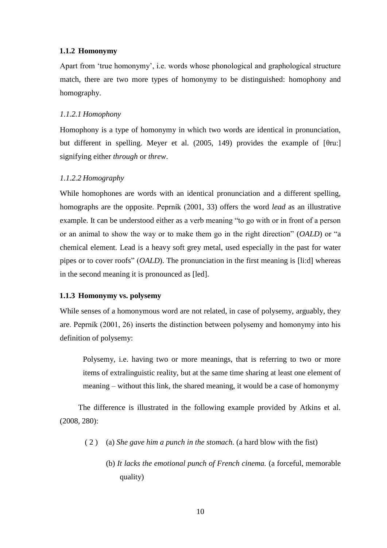#### <span id="page-9-0"></span>**1.1.2 Homonymy**

Apart from 'true homonymy', i.e. words whose phonological and graphological structure match, there are two more types of homonymy to be distinguished: homophony and homography.

#### *1.1.2.1 Homophony*

Homophony is a type of homonymy in which two words are identical in pronunciation, but different in spelling. Meyer et al. (2005, 149) provides the example of [θru:] signifying either *through* or *threw*.

#### *1.1.2.2 Homography*

While homophones are words with an identical pronunciation and a different spelling, homographs are the opposite. Peprník (2001, 33) offers the word *lead* as an illustrative example. It can be understood either as a verb meaning "to go with or in front of a person or an animal to show the way or to make them go in the right direction" (*OALD*) or "a chemical element. Lead is a heavy soft grey metal, used especially in the past for water pipes or to cover roofs" (*OALD*). The pronunciation in the first meaning is [li:d] whereas in the second meaning it is pronounced as [led].

#### <span id="page-9-1"></span>**1.1.3 Homonymy vs. polysemy**

While senses of a homonymous word are not related, in case of polysemy, arguably, they are. Peprník (2001, 26) inserts the distinction between polysemy and homonymy into his definition of polysemy:

Polysemy, i.e. having two or more meanings, that is referring to two or more items of extralinguistic reality, but at the same time sharing at least one element of meaning – without this link, the shared meaning, it would be a case of homonymy

The difference is illustrated in the following example provided by Atkins et al. (2008, 280):

- <span id="page-9-2"></span>( 2 ) (a) *She gave him a punch in the stomach.* (a hard blow with the fist)
	- (b) *It lacks the emotional punch of French cinema.* (a forceful, memorable quality)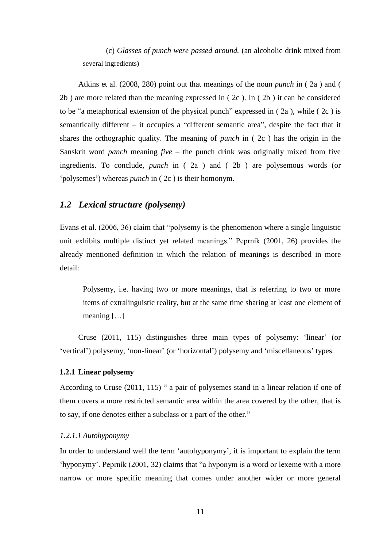(c) *Glasses of punch were passed around.* (an alcoholic drink mixed from several ingredients)

Atkins et al. (2008, 280) point out that meanings of the noun *punch* in [\( 2a](#page-9-2) ) and [\(](#page-9-2)  [2b](#page-9-2) ) are more related than the meaning expressed in [\( 2c](#page-9-2) ). In [\( 2b](#page-9-2) ) it can be considered to be "a metaphorical extension of the physical punch" expressed in ( $2a$ ), while ( $2c$ ) is semantically different – it occupies a "different semantic area", despite the fact that it shares the orthographic quality. The meaning of *punch* in [\( 2c](#page-9-2) ) has the origin in the Sanskrit word *panch* meaning *five* – the punch drink was originally mixed from five ingredients. To conclude, *punch* in [\( 2a](#page-9-2) ) and [\( 2b](#page-9-2) ) are polysemous words (or 'polysemes') whereas *punch* in [\( 2c](#page-9-2) ) is their homonym.

# <span id="page-10-0"></span>*1.2 Lexical structure (polysemy)*

Evans et al. (2006, 36) claim that "polysemy is the phenomenon where a single linguistic unit exhibits multiple distinct yet related meanings." Peprník (2001, 26) provides the already mentioned definition in which the relation of meanings is described in more detail:

Polysemy, i.e. having two or more meanings, that is referring to two or more items of extralinguistic reality, but at the same time sharing at least one element of meaning […]

Cruse (2011, 115) distinguishes three main types of polysemy: 'linear' (or 'vertical') polysemy, 'non-linear' (or 'horizontal') polysemy and 'miscellaneous' types.

#### <span id="page-10-1"></span>**1.2.1 Linear polysemy**

According to Cruse (2011, 115) " a pair of polysemes stand in a linear relation if one of them covers a more restricted semantic area within the area covered by the other, that is to say, if one denotes either a subclass or a part of the other."

#### *1.2.1.1 Autohyponymy*

In order to understand well the term 'autohyponymy', it is important to explain the term 'hyponymy'. Peprník (2001, 32) claims that "a hyponym is a word or lexeme with a more narrow or more specific meaning that comes under another wider or more general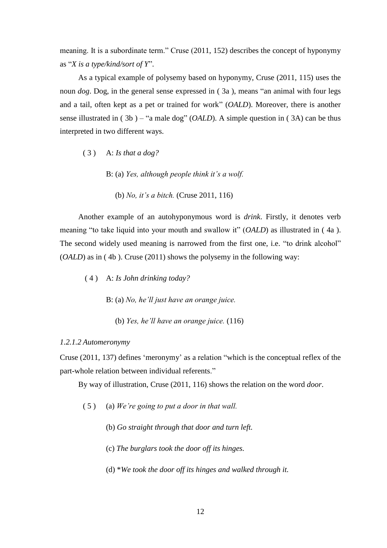meaning. It is a subordinate term." Cruse (2011, 152) describes the concept of hyponymy as "*X is a type/kind/sort of Y*".

As a typical example of polysemy based on hyponymy, Cruse (2011, 115) uses the noun *dog*. Dog, in the general sense expressed in [\( 3a](#page-11-0) ), means "an animal with four legs and a tail, often kept as a pet or trained for work" (*OALD*). Moreover, there is another sense illustrated in [\( 3b](#page-11-0) ) – "a male dog" (*OALD*). A simple question in [\( 3A](#page-11-0)) can be thus interpreted in two different ways.

- <span id="page-11-0"></span>( 3 ) A: *Is that a dog?*
	- B: (a) *Yes, although people think it's a wolf.*
		- (b) *No, it's a bitch.* (Cruse 2011, 116)

Another example of an autohyponymous word is *drink*. Firstly, it denotes verb meaning "to take liquid into your mouth and swallow it" (*OALD*) as illustrated in [\( 4a](#page-11-1) ). The second widely used meaning is narrowed from the first one, i.e. "to drink alcohol" (*OALD*) as in [\( 4b](#page-11-1) ). Cruse (2011) shows the polysemy in the following way:

- <span id="page-11-1"></span>( 4 ) A: *Is John drinking today?*
	- B: (a) *No, he'll just have an orange juice.*
		- (b) *Yes, he'll have an orange juice.* (116)

#### *1.2.1.2 Automeronymy*

Cruse (2011, 137) defines 'meronymy' as a relation "which is the conceptual reflex of the part-whole relation between individual referents."

By way of illustration, Cruse (2011, 116) shows the relation on the word *door*.

- <span id="page-11-2"></span>( 5 ) (a) *We're going to put a door in that wall.*
	- (b) *Go straight through that door and turn left.*
	- (c) *The burglars took the door off its hinges.*
	- (d) \**We took the door off its hinges and walked through it.*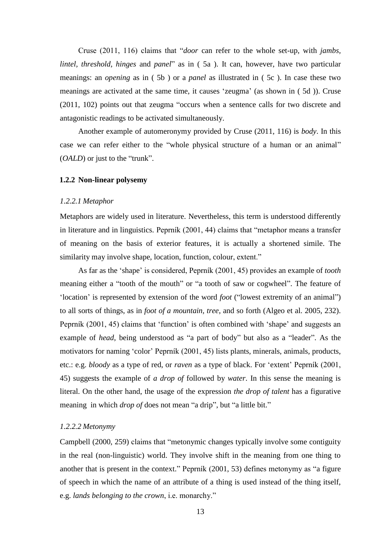Cruse (2011, 116) claims that "*door* can refer to the whole set-up, with *jambs, lintel, threshold, hinges* and *panel*" as in ( 5a ). It can, however, have two particular meanings: an *opening* as in [\( 5b](#page-11-2) ) or a *panel* as illustrated in [\( 5c](#page-11-2) ). In case these two meanings are activated at the same time, it causes 'zeugma' (as shown in [\( 5d](#page-11-2) )). Cruse (2011, 102) points out that zeugma "occurs when a sentence calls for two discrete and antagonistic readings to be activated simultaneously.

Another example of automeronymy provided by Cruse (2011, 116) is *body*. In this case we can refer either to the "whole physical structure of a human or an animal" (*OALD*) or just to the "trunk".

#### <span id="page-12-0"></span>**1.2.2 Non-linear polysemy**

#### *1.2.2.1 Metaphor*

Metaphors are widely used in literature. Nevertheless, this term is understood differently in literature and in linguistics. Peprník (2001, 44) claims that "metaphor means a transfer of meaning on the basis of exterior features, it is actually a shortened simile. The similarity may involve shape, location, function, colour, extent."

As far as the 'shape' is considered, Peprník (2001, 45) provides an example of *tooth* meaning either a "tooth of the mouth" or "a tooth of saw or cogwheel". The feature of 'location' is represented by extension of the word *foot* ("lowest extremity of an animal") to all sorts of things, as in *foot of a mountain, tree*, and so forth (Algeo et al. 2005, 232). Peprník (2001, 45) claims that 'function' is often combined with 'shape' and suggests an example of *head*, being understood as "a part of body" but also as a "leader". As the motivators for naming 'color' Peprník (2001, 45) lists plants, minerals, animals, products, etc.: e.g. *bloody* as a type of red, or *raven* as a type of black. For 'extent' Peprník (2001, 45) suggests the example of *a drop of* followed by *water*. In this sense the meaning is literal. On the other hand, the usage of the expression *the drop of talent* has a figurative meaning in which *drop of* does not mean "a drip", but "a little bit."

#### *1.2.2.2 Metonymy*

Campbell (2000, 259) claims that "metonymic changes typically involve some contiguity in the real (non-linguistic) world. They involve shift in the meaning from one thing to another that is present in the context." Peprník (2001, 53) defines metonymy as "a figure of speech in which the name of an attribute of a thing is used instead of the thing itself, e.g. *lands belonging to the crown*, i.e. monarchy."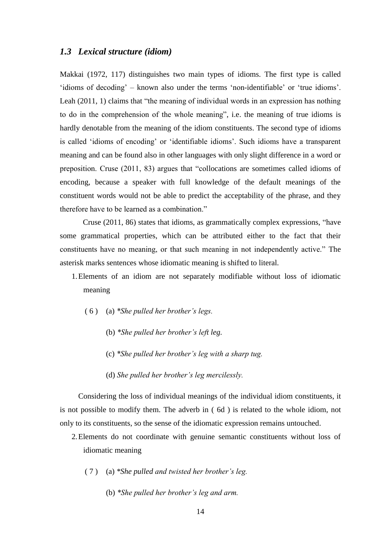#### <span id="page-13-0"></span>*1.3 Lexical structure (idiom)*

Makkai (1972, 117) distinguishes two main types of idioms. The first type is called 'idioms of decoding' – known also under the terms 'non-identifiable' or 'true idioms'. Leah (2011, 1) claims that "the meaning of individual words in an expression has nothing to do in the comprehension of the whole meaning", i.e. the meaning of true idioms is hardly denotable from the meaning of the idiom constituents. The second type of idioms is called 'idioms of encoding' or 'identifiable idioms'. Such idioms have a transparent meaning and can be found also in other languages with only slight difference in a word or preposition. Cruse (2011, 83) argues that "collocations are sometimes called idioms of encoding, because a speaker with full knowledge of the default meanings of the constituent words would not be able to predict the acceptability of the phrase, and they therefore have to be learned as a combination."

Cruse (2011, 86) states that idioms, as grammatically complex expressions, "have some grammatical properties, which can be attributed either to the fact that their constituents have no meaning, or that such meaning in not independently active." The asterisk marks sentences whose idiomatic meaning is shifted to literal.

1.Elements of an idiom are not separately modifiable without loss of idiomatic meaning

- ( 6 ) (a) *\*She pulled her brother's legs.*
	- (b) *\*She pulled her brother's left leg.*
	- (c) *\*She pulled her brother's leg with a sharp tug.*
	- (d) *She pulled her brother's leg mercilessly.*

Considering the loss of individual meanings of the individual idiom constituents, it is not possible to modify them. The adverb in ( 6d ) is related to the whole idiom, not only to its constituents, so the sense of the idiomatic expression remains untouched.

- <span id="page-13-1"></span>2.Elements do not coordinate with genuine semantic constituents without loss of idiomatic meaning
	- ( 7 ) (a) *\*She pulled and twisted her brother's leg.*
		- (b) *\*She pulled her brother's leg and arm.*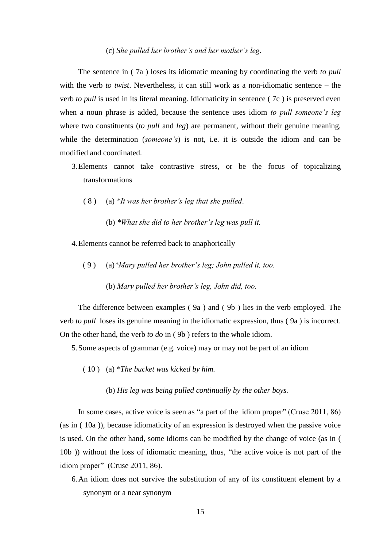#### (c) *She pulled her brother's and her mother's leg.*

The sentence in [\( 7a](#page-13-1) ) loses its idiomatic meaning by coordinating the verb *to pull*  with the verb *to twist*. Nevertheless, it can still work as a non-idiomatic sentence – the verb *to pull* is used in its literal meaning. Idiomaticity in sentence [\( 7c](#page-13-1) ) is preserved even when a noun phrase is added, because the sentence uses idiom *to pull someone's leg* where two constituents (*to pull* and *leg*) are permanent, without their genuine meaning, while the determination (*someone's*) is not, i.e. it is outside the idiom and can be modified and coordinated.

- 3.Elements cannot take contrastive stress, or be the focus of topicalizing transformations
	- ( 8 ) (a) *\*It was her brother's leg that she pulled*.
		- (b) *\*What she did to her brother's leg was pull it.*
- <span id="page-14-0"></span>4.Elements cannot be referred back to anaphorically
	- ( 9 ) (a)*\*Mary pulled her brother's leg; John pulled it, too.*
		- (b) *Mary pulled her brother's leg, John did, too.*

The difference between examples [\( 9a](#page-14-0) ) and [\( 9b](#page-14-0) ) lies in the verb employed. The verb *to pull* loses its genuine meaning in the idiomatic expression, thus [\( 9a](#page-14-0) ) is incorrect. On the other hand, the verb *to do* in [\( 9b](#page-14-0) ) refers to the whole idiom.

5.Some aspects of grammar (e.g. voice) may or may not be part of an idiom

- <span id="page-14-1"></span>( 10 ) (a) *\*The bucket was kicked by him.*
	- (b) *His leg was being pulled continually by the other boys.*

In some cases, active voice is seen as "a part of the idiom proper" (Cruse 2011, 86) (as in [\( 10a](#page-14-1) )), because idiomaticity of an expression is destroyed when the passive voice is used. On the other hand, some idioms can be modified by the change of voice (as in [\(](#page-14-1)  [10b](#page-14-1) )) without the loss of idiomatic meaning, thus, "the active voice is not part of the idiom proper" (Cruse 2011, 86).

6.An idiom does not survive the substitution of any of its constituent element by a synonym or a near synonym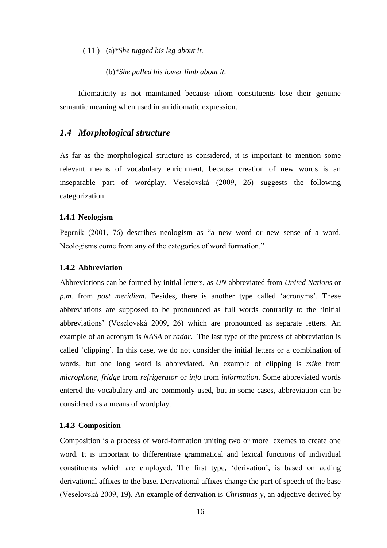( 11 ) (a)*\*She tugged his leg about it.*

(b)*\*She pulled his lower limb about it.*

Idiomaticity is not maintained because idiom constituents lose their genuine semantic meaning when used in an idiomatic expression.

## <span id="page-15-0"></span>*1.4 Morphological structure*

As far as the morphological structure is considered, it is important to mention some relevant means of vocabulary enrichment, because creation of new words is an inseparable part of wordplay. Veselovská (2009, 26) suggests the following categorization.

#### <span id="page-15-1"></span>**1.4.1 Neologism**

Peprník (2001, 76) describes neologism as "a new word or new sense of a word. Neologisms come from any of the categories of word formation."

#### <span id="page-15-2"></span>**1.4.2 Abbreviation**

Abbreviations can be formed by initial letters, as *UN* abbreviated from *United Nations* or *p.m.* from *post meridiem*. Besides, there is another type called 'acronyms'. These abbreviations are supposed to be pronounced as full words contrarily to the 'initial abbreviations' (Veselovská 2009, 26) which are pronounced as separate letters. An example of an acronym is *NASA* or *radar*. The last type of the process of abbreviation is called 'clipping'. In this case, we do not consider the initial letters or a combination of words, but one long word is abbreviated. An example of clipping is *mike* from *microphone, fridge* from *refrigerator* or *info* from *information*. Some abbreviated words entered the vocabulary and are commonly used, but in some cases, abbreviation can be considered as a means of wordplay.

#### <span id="page-15-3"></span>**1.4.3 Composition**

Composition is a process of word-formation uniting two or more lexemes to create one word. It is important to differentiate grammatical and lexical functions of individual constituents which are employed. The first type, 'derivation', is based on adding derivational affixes to the base. Derivational affixes change the part of speech of the base (Veselovská 2009, 19). An example of derivation is *Christmas-y*, an adjective derived by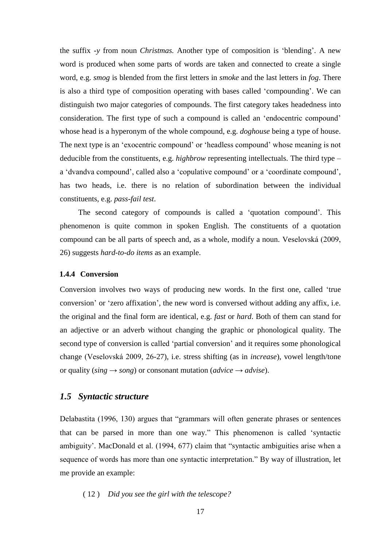the suffix *-y* from noun *Christmas.* Another type of composition is 'blending'. A new word is produced when some parts of words are taken and connected to create a single word, e.g. *smog* is blended from the first letters in *smoke* and the last letters in *fog*. There is also a third type of composition operating with bases called 'compounding'. We can distinguish two major categories of compounds. The first category takes headedness into consideration. The first type of such a compound is called an 'endocentric compound' whose head is a hyperonym of the whole compound, e.g. *doghouse* being a type of house. The next type is an 'exocentric compound' or 'headless compound' whose meaning is not deducible from the constituents, e.g. *highbrow* representing intellectuals. The third type – a 'dvandva compound', called also a 'copulative compound' or a 'coordinate compound', has two heads, i.e. there is no relation of subordination between the individual constituents, e.g. *pass-fail test*.

The second category of compounds is called a 'quotation compound'. This phenomenon is quite common in spoken English. The constituents of a quotation compound can be all parts of speech and, as a whole, modify a noun. Veselovská (2009, 26) suggests *hard-to-do items* as an example.

#### <span id="page-16-0"></span>**1.4.4 Conversion**

Conversion involves two ways of producing new words. In the first one, called 'true conversion' or 'zero affixation', the new word is conversed without adding any affix, i.e. the original and the final form are identical, e.g. *fast* or *hard*. Both of them can stand for an adjective or an adverb without changing the graphic or phonological quality. The second type of conversion is called 'partial conversion' and it requires some phonological change (Veselovská 2009, 26-27), i.e. stress shifting (as in *increase*), vowel length/tone or quality ( $\sin g \rightarrow \sin g$ ) or consonant mutation (*advice*  $\rightarrow$  *advise*).

#### <span id="page-16-1"></span>*1.5 Syntactic structure*

Delabastita (1996, 130) argues that "grammars will often generate phrases or sentences that can be parsed in more than one way." This phenomenon is called 'syntactic ambiguity'. MacDonald et al. (1994, 677) claim that "syntactic ambiguities arise when a sequence of words has more than one syntactic interpretation." By way of illustration, let me provide an example:

( 12 ) *Did you see the girl with the telescope?*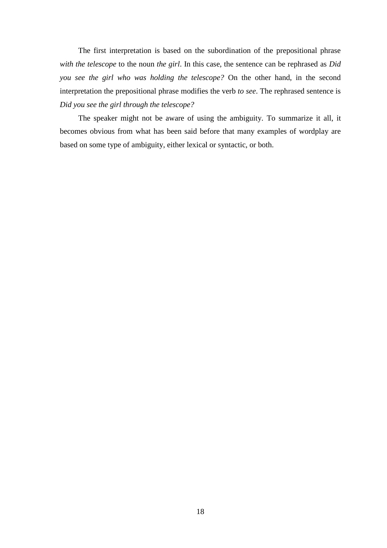The first interpretation is based on the subordination of the prepositional phrase *with the telescope* to the noun *the girl*. In this case, the sentence can be rephrased as *Did you see the girl who was holding the telescope?* On the other hand, in the second interpretation the prepositional phrase modifies the verb *to see*. The rephrased sentence is *Did you see the girl through the telescope?*

The speaker might not be aware of using the ambiguity. To summarize it all, it becomes obvious from what has been said before that many examples of wordplay are based on some type of ambiguity, either lexical or syntactic, or both.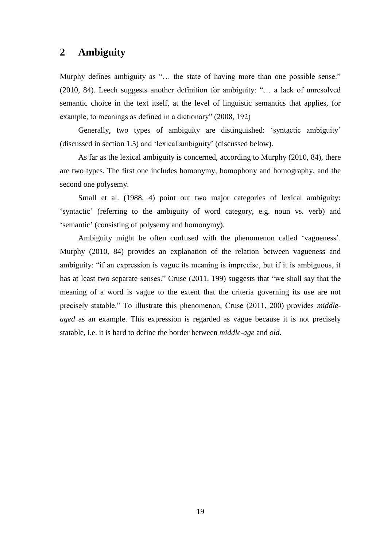# <span id="page-18-0"></span>**2 Ambiguity**

Murphy defines ambiguity as "... the state of having more than one possible sense." (2010, 84). Leech suggests another definition for ambiguity: "… a lack of unresolved semantic choice in the text itself, at the level of linguistic semantics that applies, for example, to meanings as defined in a dictionary" (2008, 192)

Generally, two types of ambiguity are distinguished: 'syntactic ambiguity' (discussed in section 1.5) and 'lexical ambiguity' (discussed below).

As far as the lexical ambiguity is concerned, according to Murphy (2010, 84), there are two types. The first one includes homonymy, homophony and homography, and the second one polysemy.

Small et al. (1988, 4) point out two major categories of lexical ambiguity: 'syntactic' (referring to the ambiguity of word category, e.g. noun vs. verb) and 'semantic' (consisting of polysemy and homonymy).

Ambiguity might be often confused with the phenomenon called 'vagueness'. Murphy (2010, 84) provides an explanation of the relation between vagueness and ambiguity: "if an expression is vague its meaning is imprecise, but if it is ambiguous, it has at least two separate senses." Cruse (2011, 199) suggests that "we shall say that the meaning of a word is vague to the extent that the criteria governing its use are not precisely statable." To illustrate this phenomenon, Cruse (2011, 200) provides *middleaged* as an example. This expression is regarded as vague because it is not precisely statable, i.e. it is hard to define the border between *middle-age* and *old*.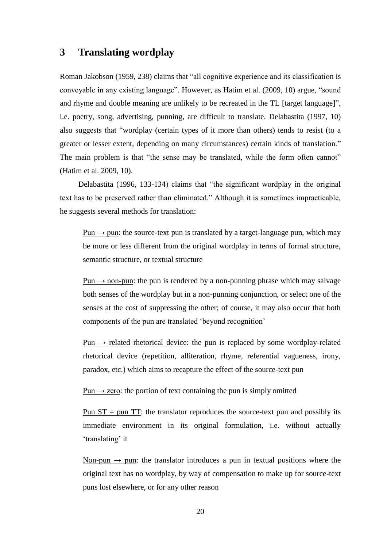# <span id="page-19-0"></span>**3 Translating wordplay**

Roman Jakobson (1959, 238) claims that "all cognitive experience and its classification is conveyable in any existing language". However, as Hatim et al. (2009, 10) argue, "sound and rhyme and double meaning are unlikely to be recreated in the TL [target language]", i.e. poetry, song, advertising, punning, are difficult to translate. Delabastita (1997, 10) also suggests that "wordplay (certain types of it more than others) tends to resist (to a greater or lesser extent, depending on many circumstances) certain kinds of translation." The main problem is that "the sense may be translated, while the form often cannot" (Hatim et al. 2009, 10).

Delabastita (1996, 133-134) claims that "the significant wordplay in the original text has to be preserved rather than eliminated." Although it is sometimes impracticable, he suggests several methods for translation:

Pun  $\rightarrow$  pun: the source-text pun is translated by a target-language pun, which may be more or less different from the original wordplay in terms of formal structure, semantic structure, or textual structure

Pun  $\rightarrow$  non-pun: the pun is rendered by a non-punning phrase which may salvage both senses of the wordplay but in a non-punning conjunction, or select one of the senses at the cost of suppressing the other; of course, it may also occur that both components of the pun are translated 'beyond recognition'

 $Pun \rightarrow$  related rhetorical device: the pun is replaced by some wordplay-related rhetorical device (repetition, alliteration, rhyme, referential vagueness, irony, paradox, etc.) which aims to recapture the effect of the source-text pun

Pun  $\rightarrow$  zero: the portion of text containing the pun is simply omitted

Pun  $ST =$  pun  $TT$ : the translator reproduces the source-text pun and possibly its immediate environment in its original formulation, i.e. without actually 'translating' it

Non-pun  $\rightarrow$  pun: the translator introduces a pun in textual positions where the original text has no wordplay, by way of compensation to make up for source-text puns lost elsewhere, or for any other reason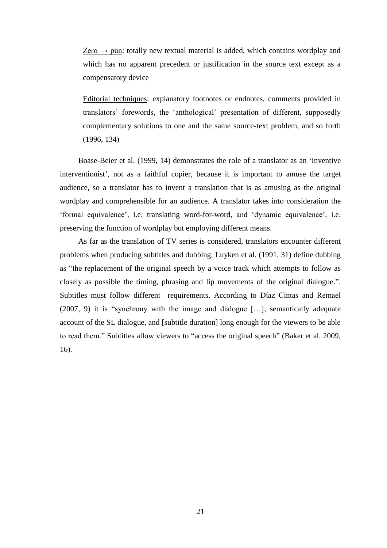Zero  $\rightarrow$  pun: totally new textual material is added, which contains wordplay and which has no apparent precedent or justification in the source text except as a compensatory device

Editorial techniques: explanatory footnotes or endnotes, comments provided in translators' forewords, the 'anthological' presentation of different, supposedly complementary solutions to one and the same source-text problem, and so forth (1996, 134)

Boase-Beier et al. (1999, 14) demonstrates the role of a translator as an 'inventive interventionist', not as a faithful copier, because it is important to amuse the target audience, so a translator has to invent a translation that is as amusing as the original wordplay and comprehensible for an audience. A translator takes into consideration the 'formal equivalence', i.e. translating word-for-word, and 'dynamic equivalence', i.e. preserving the function of wordplay but employing different means.

As far as the translation of TV series is considered, translators encounter different problems when producing subtitles and dubbing. Luyken et al. (1991, 31) define dubbing as "the replacement of the original speech by a voice track which attempts to follow as closely as possible the timing, phrasing and lip movements of the original dialogue.". Subtitles must follow different requirements. According to Díaz Cintas and Remael (2007, 9) it is "synchrony with the image and dialogue […], semantically adequate account of the SL dialogue, and [subtitle duration] long enough for the viewers to be able to read them." Subtitles allow viewers to "access the original speech" (Baker et al. 2009, 16).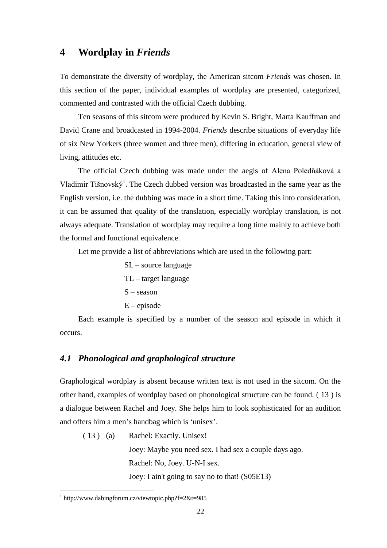# <span id="page-21-0"></span>**4 Wordplay in** *Friends*

To demonstrate the diversity of wordplay, the American sitcom *Friends* was chosen. In this section of the paper, individual examples of wordplay are presented, categorized, commented and contrasted with the official Czech dubbing.

Ten seasons of this sitcom were produced by Kevin S. Bright, Marta Kauffman and David Crane and broadcasted in 1994-2004. *Friends* describe situations of everyday life of six New Yorkers (three women and three men), differing in education, general view of living, attitudes etc.

The official Czech dubbing was made under the aegis of Alena Poledňáková a Vladimír Tišnovský<sup>1</sup>. The Czech dubbed version was broadcasted in the same year as the English version, i.e. the dubbing was made in a short time. Taking this into consideration, it can be assumed that quality of the translation, especially wordplay translation, is not always adequate. Translation of wordplay may require a long time mainly to achieve both the formal and functional equivalence.

Let me provide a list of abbreviations which are used in the following part:

SL – source language TL – target language S – season E – episode

Each example is specified by a number of the season and episode in which it occurs.

### <span id="page-21-1"></span>*4.1 Phonological and graphological structure*

Graphological wordplay is absent because written text is not used in the sitcom. On the other hand, examples of wordplay based on phonological structure can be found. ( 13 ) is a dialogue between Rachel and Joey. She helps him to look sophisticated for an audition and offers him a men's handbag which is 'unisex'.

( 13 ) (a) Rachel: Exactly. Unisex! Joey: Maybe you need sex. I had sex a couple days ago. Rachel: No, Joey. U-N-I sex. Joey: I ain't going to say no to that! (S05E13)

 $\overline{a}$ 

<sup>1</sup> http://www.dabingforum.cz/viewtopic.php?f=2&t=985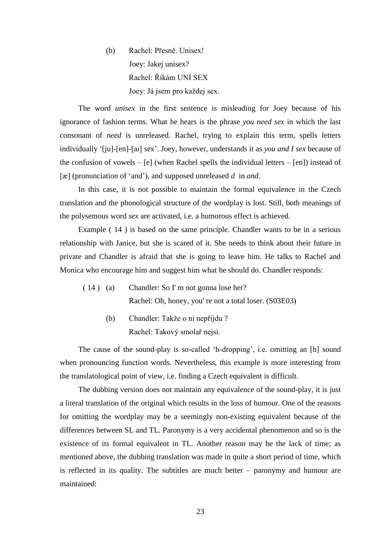(b) Rachel: Přesně. Unisex! Joey: Jakej unisex? Rachel: Říkám UNI SEX Joey: Já jsem pro každej sex.

The word *unisex* in the first sentence is misleading for Joey because of his ignorance of fashion terms. What he hears is the phrase *you need sex* in which the last consonant of *need* is unreleased. Rachel, trying to explain this term, spells letters individually '[ju]-[en]-[aɪ] sex'. Joey, however, understands it as *you and I sex* because of the confusion of vowels –  $[e]$  (when Rachel spells the individual letters –  $[en]$ ) instead of [æ] (pronunciation of 'and'), and supposed unreleased *d* in *and*.

In this case, it is not possible to maintain the formal equivalence in the Czech translation and the phonological structure of the wordplay is lost. Still, both meanings of the polysemous word *sex* are activated, i.e. a humorous effect is achieved.

Example ( 14 ) is based on the same principle. Chandler wants to be in a serious relationship with Janice, but she is scared of it. She needs to think about their future in private and Chandler is afraid that she is going to leave him. He talks to Rachel and Monica who encourage him and suggest him what he should do. Chandler responds:

- ( 14 ) (a) Chandler: So I' m not gonna lose her? Rachel: Oh, honey, you' re not a total loser. (S03E03)
	- (b) Chandler: Takže o ni nepřijdu ? Rachel: Takový smolař nejsi.

The cause of the sound-play is so-called 'h-dropping', i.e. omitting an [h] sound when pronouncing function words. Nevertheless, this example is more interesting from the translatological point of view, i.e. finding a Czech equivalent is difficult.

The dubbing version does not maintain any equivalence of the sound-play, it is just a literal translation of the original which results in the loss of humour. One of the reasons for omitting the wordplay may be a seemingly non-existing equivalent because of the differences between SL and TL. Paronymy is a very accidental phenomenon and so is the existence of its formal equivalent in TL. Another reason may be the lack of time; as mentioned above, the dubbing translation was made in quite a short period of time, which is reflected in its quality. The subtitles are much better – paronymy and humour are maintained: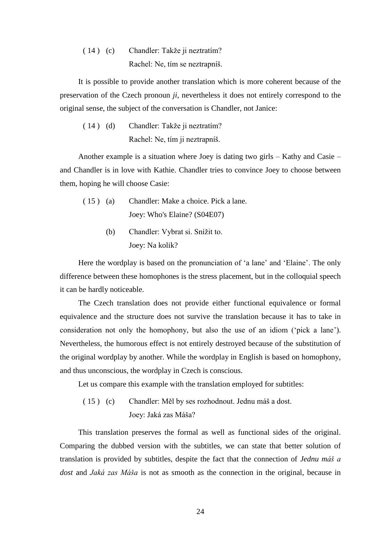( 14 ) (c) Chandler: Takže ji neztratím? Rachel: Ne, tím se neztrapníš.

It is possible to provide another translation which is more coherent because of the preservation of the Czech pronoun *ji*, nevertheless it does not entirely correspond to the original sense, the subject of the conversation is Chandler, not Janice:

( 14 ) (d) Chandler: Takže ji neztratím? Rachel: Ne, tím ji neztrapníš.

Another example is a situation where Joey is dating two girls – Kathy and Casie – and Chandler is in love with Kathie. Chandler tries to convince Joey to choose between them, hoping he will choose Casie:

- ( 15 ) (a) Chandler: Make a choice. Pick a lane. Joey: Who's Elaine? (S04E07)
	- (b) Chandler: Vybrat si. Snížit to. Joey: Na kolik?

Here the wordplay is based on the pronunciation of 'a lane' and 'Elaine'. The only difference between these homophones is the stress placement, but in the colloquial speech it can be hardly noticeable.

The Czech translation does not provide either functional equivalence or formal equivalence and the structure does not survive the translation because it has to take in consideration not only the homophony, but also the use of an idiom ('pick a lane'). Nevertheless, the humorous effect is not entirely destroyed because of the substitution of the original wordplay by another. While the wordplay in English is based on homophony, and thus unconscious, the wordplay in Czech is conscious.

Let us compare this example with the translation employed for subtitles:

( 15 ) (c) Chandler: Měl by ses rozhodnout. Jednu máš a dost. Joey: Jaká zas Máša?

This translation preserves the formal as well as functional sides of the original. Comparing the dubbed version with the subtitles, we can state that better solution of translation is provided by subtitles, despite the fact that the connection of *Jednu máš a dost* and *Jaká zas Máša* is not as smooth as the connection in the original, because in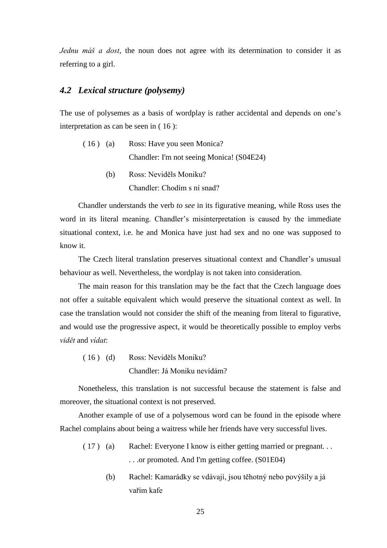*Jednu máš a dost*, the noun does not agree with its determination to consider it as referring to a girl.

## <span id="page-24-0"></span>*4.2 Lexical structure (polysemy)*

The use of polysemes as a basis of wordplay is rather accidental and depends on one's interpretation as can be seen in ( 16 ):

- ( 16 ) (a) Ross: Have you seen Monica? Chandler: I'm not seeing Monica! (S04E24)
	- (b) Ross: Neviděls Moniku? Chandler: Chodím s ní snad?

Chandler understands the verb *to see* in its figurative meaning, while Ross uses the word in its literal meaning. Chandler's misinterpretation is caused by the immediate situational context, i.e. he and Monica have just had sex and no one was supposed to know it.

The Czech literal translation preserves situational context and Chandler's unusual behaviour as well. Nevertheless, the wordplay is not taken into consideration.

The main reason for this translation may be the fact that the Czech language does not offer a suitable equivalent which would preserve the situational context as well. In case the translation would not consider the shift of the meaning from literal to figurative, and would use the progressive aspect, it would be theoretically possible to employ verbs *vidět* and *vídat*:

( 16 ) (d) Ross: Neviděls Moniku? Chandler: Já Moniku nevídám?

Nonetheless, this translation is not successful because the statement is false and moreover, the situational context is not preserved.

Another example of use of a polysemous word can be found in the episode where Rachel complains about being a waitress while her friends have very successful lives.

- ( 17 ) (a) Rachel: Everyone I know is either getting married or pregnant. . . . . .or promoted. And I'm getting coffee. (S01E04)
	- (b) Rachel: Kamarádky se vdávají, jsou těhotný nebo povýšily a já vařím kafe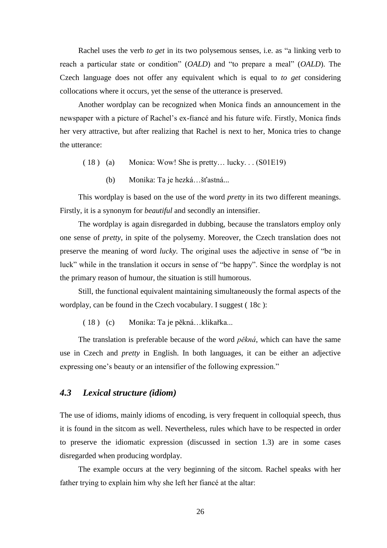Rachel uses the verb *to get* in its two polysemous senses, i.e. as "a linking verb to reach a particular state or condition" (*OALD*) and "to prepare a meal" (*OALD*). The Czech language does not offer any equivalent which is equal to *to get* considering collocations where it occurs, yet the sense of the utterance is preserved.

Another wordplay can be recognized when Monica finds an announcement in the newspaper with a picture of Rachel's ex-fiancé and his future wife. Firstly, Monica finds her very attractive, but after realizing that Rachel is next to her, Monica tries to change the utterance:

- ( 18 ) (a) Monica: Wow! She is pretty… lucky. . . (S01E19)
	- (b) Monika: Ta je hezká…šťastná...

This wordplay is based on the use of the word *pretty* in its two different meanings. Firstly, it is a synonym for *beautiful* and secondly an intensifier.

The wordplay is again disregarded in dubbing, because the translators employ only one sense of *pretty*, in spite of the polysemy. Moreover, the Czech translation does not preserve the meaning of word *lucky.* The original uses the adjective in sense of "be in luck" while in the translation it occurs in sense of "be happy". Since the wordplay is not the primary reason of humour, the situation is still humorous.

Still, the functional equivalent maintaining simultaneously the formal aspects of the wordplay, can be found in the Czech vocabulary. I suggest ( 18c ):

( 18 ) (c) Monika: Ta je pěkná…klikařka...

The translation is preferable because of the word *pěkná*, which can have the same use in Czech and *pretty* in English. In both languages, it can be either an adjective expressing one's beauty or an intensifier of the following expression."

## <span id="page-25-0"></span>*4.3 Lexical structure (idiom)*

The use of idioms, mainly idioms of encoding, is very frequent in colloquial speech, thus it is found in the sitcom as well. Nevertheless, rules which have to be respected in order to preserve the idiomatic expression (discussed in section 1.3) are in some cases disregarded when producing wordplay.

The example occurs at the very beginning of the sitcom. Rachel speaks with her father trying to explain him why she left her fiancé at the altar: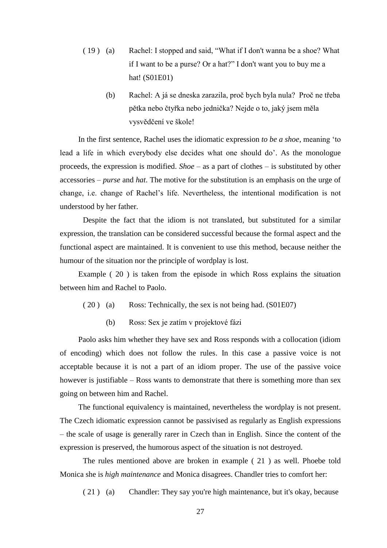- ( 19 ) (a) Rachel: I stopped and said, "What if I don't wanna be a shoe? What if I want to be a purse? Or a hat?" I don't want you to buy me a hat! (S01E01)
	- (b) Rachel: A já se dneska zarazila, proč bych byla nula? Proč ne třeba pětka nebo čtyřka nebo jednička? Nejde o to, jaký jsem měla vysvědčení ve škole!

In the first sentence, Rachel uses the idiomatic expression *to be a shoe*, meaning 'to lead a life in which everybody else decides what one should do'. As the monologue proceeds, the expression is modified. *Shoe* – as a part of clothes – is substituted by other accessories – *purse* and *hat*. The motive for the substitution is an emphasis on the urge of change, i.e. change of Rachel's life. Nevertheless, the intentional modification is not understood by her father.

Despite the fact that the idiom is not translated, but substituted for a similar expression, the translation can be considered successful because the formal aspect and the functional aspect are maintained. It is convenient to use this method, because neither the humour of the situation nor the principle of wordplay is lost.

Example ( 20 ) is taken from the episode in which Ross explains the situation between him and Rachel to Paolo.

- ( 20 ) (a) Ross: Technically, the sex is not being had. (S01E07)
	- (b) Ross: Sex je zatím v projektové fázi

Paolo asks him whether they have sex and Ross responds with a collocation (idiom of encoding) which does not follow the rules. In this case a passive voice is not acceptable because it is not a part of an idiom proper. The use of the passive voice however is justifiable – Ross wants to demonstrate that there is something more than sex going on between him and Rachel.

The functional equivalency is maintained, nevertheless the wordplay is not present. The Czech idiomatic expression cannot be passivised as regularly as English expressions – the scale of usage is generally rarer in Czech than in English. Since the content of the expression is preserved, the humorous aspect of the situation is not destroyed.

The rules mentioned above are broken in example ( 21 ) as well. Phoebe told Monica she is *high maintenance* and Monica disagrees. Chandler tries to comfort her:

( 21 ) (a) Chandler: They say you're high maintenance, but it's okay, because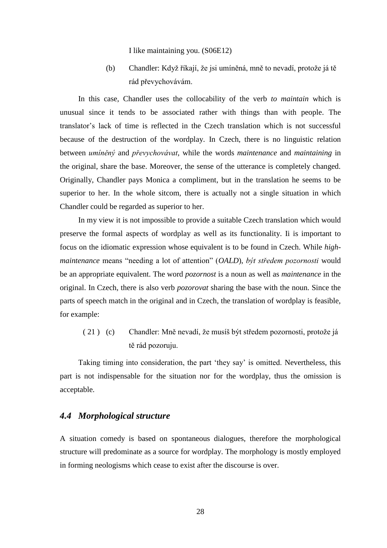I like maintaining you. (S06E12)

(b) Chandler: Když říkají, že jsi umíněná, mně to nevadí, protože já tě rád převychovávám.

In this case, Chandler uses the collocability of the verb *to maintain* which is unusual since it tends to be associated rather with things than with people. The translator's lack of time is reflected in the Czech translation which is not successful because of the destruction of the wordplay. In Czech, there is no linguistic relation between *umíněný* and *převychovávat*, while the words *maintenance* and *maintaining* in the original, share the base. Moreover, the sense of the utterance is completely changed. Originally, Chandler pays Monica a compliment, but in the translation he seems to be superior to her. In the whole sitcom, there is actually not a single situation in which Chandler could be regarded as superior to her.

In my view it is not impossible to provide a suitable Czech translation which would preserve the formal aspects of wordplay as well as its functionality. Ii is important to focus on the idiomatic expression whose equivalent is to be found in Czech. While *highmaintenance* means "needing a lot of attention" (*OALD*), *být středem pozornosti* would be an appropriate equivalent. The word *pozornost* is a noun as well as *maintenance* in the original. In Czech, there is also verb *pozorovat* sharing the base with the noun. Since the parts of speech match in the original and in Czech, the translation of wordplay is feasible, for example:

( 21 ) (c) Chandler: Mně nevadí, že musíš být středem pozornosti, protože já tě rád pozoruju.

Taking timing into consideration, the part 'they say' is omitted. Nevertheless, this part is not indispensable for the situation nor for the wordplay, thus the omission is acceptable.

#### <span id="page-27-0"></span>*4.4 Morphological structure*

A situation comedy is based on spontaneous dialogues, therefore the morphological structure will predominate as a source for wordplay. The morphology is mostly employed in forming neologisms which cease to exist after the discourse is over.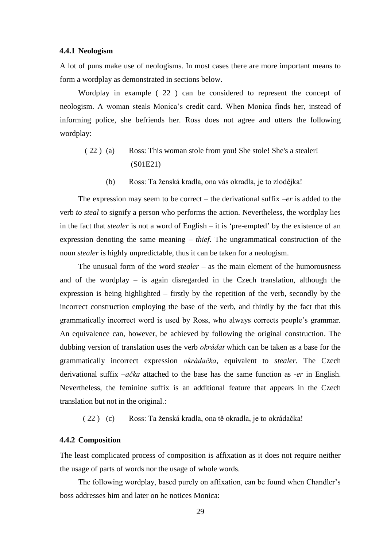#### <span id="page-28-0"></span>**4.4.1 Neologism**

A lot of puns make use of neologisms. In most cases there are more important means to form a wordplay as demonstrated in sections below.

Wordplay in example [\( 22](#page-28-2) ) can be considered to represent the concept of neologism. A woman steals Monica's credit card. When Monica finds her, instead of informing police, she befriends her. Ross does not agree and utters the following wordplay:

- <span id="page-28-2"></span>( 22 ) (a) Ross: This woman stole from you! She stole! She's a stealer! (S01E21)
	- (b) Ross: Ta ženská kradla, ona vás okradla, je to zlodějka!

The expression may seem to be correct – the derivational suffix  $-er$  is added to the verb *to steal* to signify a person who performs the action. Nevertheless, the wordplay lies in the fact that *stealer* is not a word of English – it is 'pre-empted' by the existence of an expression denoting the same meaning – *thief*. The ungrammatical construction of the noun *stealer* is highly unpredictable, thus it can be taken for a neologism.

The unusual form of the word *stealer* – as the main element of the humorousness and of the wordplay – is again disregarded in the Czech translation, although the expression is being highlighted – firstly by the repetition of the verb, secondly by the incorrect construction employing the base of the verb, and thirdly by the fact that this grammatically incorrect word is used by Ross, who always corrects people's grammar. An equivalence can, however, be achieved by following the original construction. The dubbing version of translation uses the verb *okrádat* which can be taken as a base for the grammatically incorrect expression *okrádačka*, equivalent to *stealer*. The Czech derivational suffix *–ačka* attached to the base has the same function as -*er* in English. Nevertheless, the feminine suffix is an additional feature that appears in the Czech translation but not in the original.:

[\( 22](#page-28-2) ) (c) Ross: Ta ženská kradla, ona tě okradla, je to okrádačka!

#### <span id="page-28-1"></span>**4.4.2 Composition**

The least complicated process of composition is affixation as it does not require neither the usage of parts of words nor the usage of whole words.

The following wordplay, based purely on affixation, can be found when Chandler's boss addresses him and later on he notices Monica: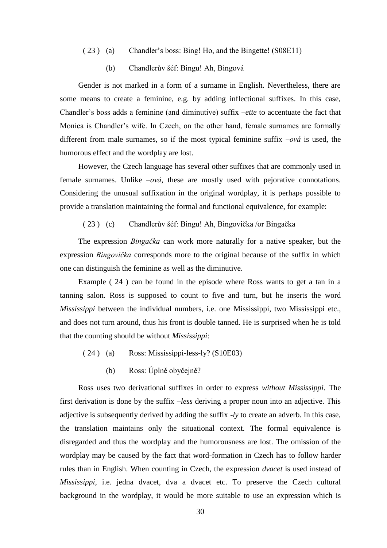- ( 23 ) (a) Chandler's boss: Bing! Ho, and the Bingette! (S08E11)
	- (b) Chandlerův šéf: Bingu! Ah, Bingová

Gender is not marked in a form of a surname in English. Nevertheless, there are some means to create a feminine, e.g. by adding inflectional suffixes. In this case, Chandler's boss adds a feminine (and diminutive) suffix –*ette* to accentuate the fact that Monica is Chandler's wife. In Czech, on the other hand, female surnames are formally different from male surnames, so if the most typical feminine suffix –*ová* is used, the humorous effect and the wordplay are lost.

However, the Czech language has several other suffixes that are commonly used in female surnames. Unlike *–ová*, these are mostly used with pejorative connotations. Considering the unusual suffixation in the original wordplay, it is perhaps possible to provide a translation maintaining the formal and functional equivalence, for example:

( 23 ) (c) Chandlerův šéf: Bingu! Ah, Bingovička /or Bingačka

The expression *Bingačka* can work more naturally for a native speaker, but the expression *Bingovička* corresponds more to the original because of the suffix in which one can distinguish the feminine as well as the diminutive.

Example ( 24 ) can be found in the episode where Ross wants to get a tan in a tanning salon. Ross is supposed to count to five and turn, but he inserts the word *Mississippi* between the individual numbers, i.e. one Mississippi, two Mississippi etc., and does not turn around, thus his front is double tanned. He is surprised when he is told that the counting should be without *Mississippi*:

- ( 24 ) (a) Ross: Mississippi-less-ly? (S10E03)
	- (b) Ross: Úplně obyčejně?

Ross uses two derivational suffixes in order to express *without Mississippi*. The first derivation is done by the suffix –*less* deriving a proper noun into an adjective. This adjective is subsequently derived by adding the suffix -*ly* to create an adverb. In this case, the translation maintains only the situational context. The formal equivalence is disregarded and thus the wordplay and the humorousness are lost. The omission of the wordplay may be caused by the fact that word-formation in Czech has to follow harder rules than in English. When counting in Czech, the expression *dvacet* is used instead of *Mississippi*, i.e. jedna dvacet, dva a dvacet etc. To preserve the Czech cultural background in the wordplay, it would be more suitable to use an expression which is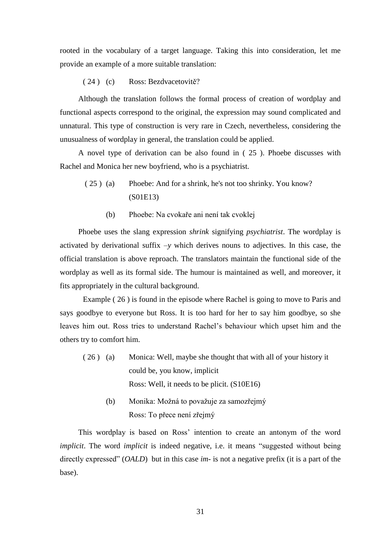rooted in the vocabulary of a target language. Taking this into consideration, let me provide an example of a more suitable translation:

( 24 ) (c) Ross: Bezdvacetovitě?

Although the translation follows the formal process of creation of wordplay and functional aspects correspond to the original, the expression may sound complicated and unnatural. This type of construction is very rare in Czech, nevertheless, considering the unusualness of wordplay in general, the translation could be applied.

A novel type of derivation can be also found in [\( 25](#page-30-0) ). Phoebe discusses with Rachel and Monica her new boyfriend, who is a psychiatrist.

- <span id="page-30-0"></span>( 25 ) (a) Phoebe: And for a shrink, he's not too shrinky. You know? (S01E13)
	- (b) Phoebe: Na cvokaře ani není tak cvoklej

Phoebe uses the slang expression *shrink* signifying *psychiatrist*. The wordplay is activated by derivational suffix *–y* which derives nouns to adjectives. In this case, the official translation is above reproach. The translators maintain the functional side of the wordplay as well as its formal side. The humour is maintained as well, and moreover, it fits appropriately in the cultural background.

Example ( 26 ) is found in the episode where Rachel is going to move to Paris and says goodbye to everyone but Ross. It is too hard for her to say him goodbye, so she leaves him out. Ross tries to understand Rachel's behaviour which upset him and the others try to comfort him.

- <span id="page-30-1"></span>( 26 ) (a) Monica: Well, maybe she thought that with all of your history it could be, you know, implicit Ross: Well, it needs to be plicit. (S10E16)
	- (b) Monika: Možná to považuje za samozřejmý Ross: To přece není zřejmý

This wordplay is based on Ross' intention to create an antonym of the word *implicit*. The word *implicit* is indeed negative, i.e. it means "suggested without being directly expressed" (*OALD*) but in this case *im-* is not a negative prefix (it is a part of the base).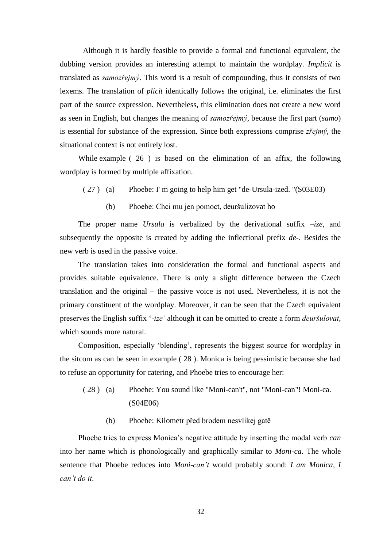Although it is hardly feasible to provide a formal and functional equivalent, the dubbing version provides an interesting attempt to maintain the wordplay. *Implicit* is translated as *samozřejmý*. This word is a result of compounding, thus it consists of two lexems. The translation of *plicit* identically follows the original, i.e. eliminates the first part of the source expression. Nevertheless, this elimination does not create a new word as seen in English, but changes the meaning of *samozřejmý*, because the first part (*samo*) is essential for substance of the expression. Since both expressions comprise *zřejmý*, the situational context is not entirely lost.

While example [\( 26](#page-30-1) ) is based on the elimination of an affix, the following wordplay is formed by multiple affixation.

- ( 27 ) (a) Phoebe: I' m going to help him get "de-Ursula-ized. "(S03E03)
	- (b) Phoebe: Chci mu jen pomoct, deuršulizovat ho

The proper name *Ursula* is verbalized by the derivational suffix –*ize*, and subsequently the opposite is created by adding the inflectional prefix *de-*. Besides the new verb is used in the passive voice.

The translation takes into consideration the formal and functional aspects and provides suitable equivalence. There is only a slight difference between the Czech translation and the original – the passive voice is not used. Nevertheless, it is not the primary constituent of the wordplay. Moreover, it can be seen that the Czech equivalent preserves the English suffix '-*ize'* although it can be omitted to create a form *deuršulovat*, which sounds more natural.

Composition, especially 'blending', represents the biggest source for wordplay in the sitcom as can be seen in example ( 28 ). Monica is being pessimistic because she had to refuse an opportunity for catering, and Phoebe tries to encourage her:

- ( 28 ) (a) Phoebe: You sound like "Moni-can't", not "Moni-can"! Moni-ca. (S04E06)
	- (b) Phoebe: Kilometr před brodem nesvlíkej gatě

Phoebe tries to express Monica's negative attitude by inserting the modal verb *can*  into her name which is phonologically and graphically similar to *Moni-ca*. The whole sentence that Phoebe reduces into *Moni-can't* would probably sound: *I am Monica, I can't do it*.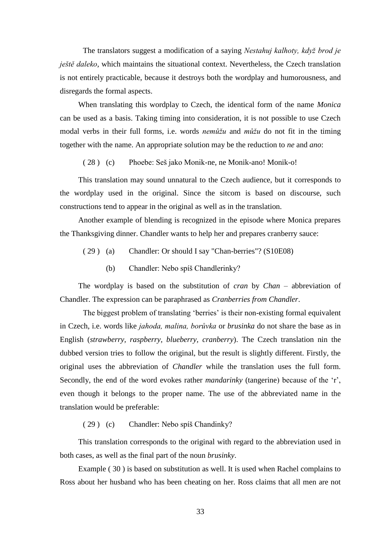The translators suggest a modification of a saying *Nestahuj kalhoty, když brod je ještě daleko*, which maintains the situational context. Nevertheless, the Czech translation is not entirely practicable, because it destroys both the wordplay and humorousness, and disregards the formal aspects.

When translating this wordplay to Czech, the identical form of the name *Monica* can be used as a basis. Taking timing into consideration, it is not possible to use Czech modal verbs in their full forms, i.e. words *nemůžu* and *můžu* do not fit in the timing together with the name. An appropriate solution may be the reduction to *ne* and *ano*:

( 28 ) (c) Phoebe: Seš jako Monik-ne, ne Monik-ano! Monik-o!

This translation may sound unnatural to the Czech audience, but it corresponds to the wordplay used in the original. Since the sitcom is based on discourse, such constructions tend to appear in the original as well as in the translation.

Another example of blending is recognized in the episode where Monica prepares the Thanksgiving dinner. Chandler wants to help her and prepares cranberry sauce:

- ( 29 ) (a) Chandler: Or should I say "Chan-berries"? (S10E08)
	- (b) Chandler: Nebo spíš Chandlerinky?

The wordplay is based on the substitution of *cran* by *Chan* – abbreviation of Chandler. The expression can be paraphrased as *Cranberries from Chandler*.

The biggest problem of translating 'berries' is their non-existing formal equivalent in Czech, i.e. words like *jahoda, malina, borůvka* or *brusinka* do not share the base as in English (*strawberry, raspberry, blueberry, cranberry*). The Czech translation nin the dubbed version tries to follow the original, but the result is slightly different. Firstly, the original uses the abbreviation of *Chandler* while the translation uses the full form. Secondly, the end of the word evokes rather *mandarinky* (tangerine) because of the 'r', even though it belongs to the proper name. The use of the abbreviated name in the translation would be preferable:

( 29 ) (c) Chandler: Nebo spíš Chandinky?

This translation corresponds to the original with regard to the abbreviation used in both cases, as well as the final part of the noun *brusinky*.

Example ( 30 ) is based on substitution as well. It is used when Rachel complains to Ross about her husband who has been cheating on her. Ross claims that all men are not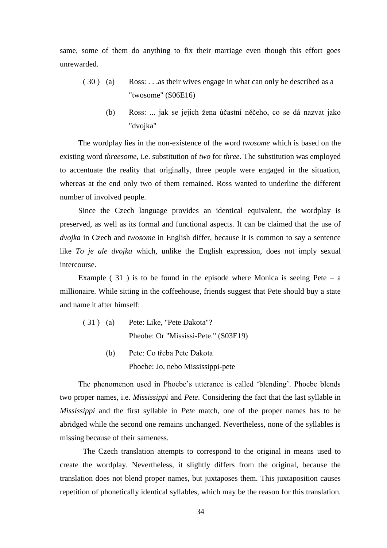same, some of them do anything to fix their marriage even though this effort goes unrewarded.

- ( 30 ) (a) Ross: . . .as their wives engage in what can only be described as a "twosome" (S06E16)
	- (b) Ross: ... jak se jejich žena účastní něčeho, co se dá nazvat jako "dvojka"

The wordplay lies in the non-existence of the word *twosome* which is based on the existing word *threesome*, i.e. substitution of *two* for *three*. The substitution was employed to accentuate the reality that originally, three people were engaged in the situation, whereas at the end only two of them remained. Ross wanted to underline the different number of involved people.

Since the Czech language provides an identical equivalent, the wordplay is preserved, as well as its formal and functional aspects. It can be claimed that the use of *dvojka* in Czech and *twosome* in English differ, because it is common to say a sentence like *To je ale dvojka* which, unlike the English expression, does not imply sexual intercourse.

Example  $(31)$  is to be found in the episode where Monica is seeing Pete – a millionaire. While sitting in the coffeehouse, friends suggest that Pete should buy a state and name it after himself:

- ( 31 ) (a) Pete: Like, "Pete Dakota"? Pheobe: Or "Mississi-Pete." (S03E19)
	- (b) Pete: Co třeba Pete Dakota Phoebe: Jo, nebo Mississippi-pete

The phenomenon used in Phoebe's utterance is called 'blending'. Phoebe blends two proper names, i.e. *Mississippi* and *Pete*. Considering the fact that the last syllable in *Mississippi* and the first syllable in *Pete* match, one of the proper names has to be abridged while the second one remains unchanged. Nevertheless, none of the syllables is missing because of their sameness.

The Czech translation attempts to correspond to the original in means used to create the wordplay. Nevertheless, it slightly differs from the original, because the translation does not blend proper names, but juxtaposes them. This juxtaposition causes repetition of phonetically identical syllables, which may be the reason for this translation.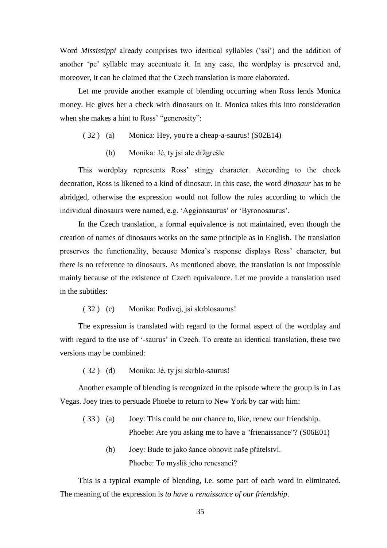Word *Mississippi* already comprises two identical syllables ('ssi') and the addition of another 'pe' syllable may accentuate it. In any case, the wordplay is preserved and, moreover, it can be claimed that the Czech translation is more elaborated.

Let me provide another example of blending occurring when Ross lends Monica money. He gives her a check with dinosaurs on it. Monica takes this into consideration when she makes a hint to Ross' "generosity":

- ( 32 ) (a) Monica: Hey, you're a cheap-a-saurus! (S02E14)
	- (b) Monika: Jé, ty jsi ale držgrešle

This wordplay represents Ross' stingy character. According to the check decoration, Ross is likened to a kind of dinosaur. In this case, the word *dinosaur* has to be abridged, otherwise the expression would not follow the rules according to which the individual dinosaurs were named, e.g. 'Aggionsaurus' or 'Byronosaurus'.

In the Czech translation, a formal equivalence is not maintained, even though the creation of names of dinosaurs works on the same principle as in English. The translation preserves the functionality, because Monica's response displays Ross' character, but there is no reference to dinosaurs. As mentioned above, the translation is not impossible mainly because of the existence of Czech equivalence. Let me provide a translation used in the subtitles:

( 32 ) (c) Monika: Podívej, jsi skrblosaurus!

The expression is translated with regard to the formal aspect of the wordplay and with regard to the use of '-saurus' in Czech. To create an identical translation, these two versions may be combined:

( 32 ) (d) Monika: Jé, ty jsi skrblo-saurus!

Another example of blending is recognized in the episode where the group is in Las Vegas. Joey tries to persuade Phoebe to return to New York by car with him:

- ( 33 ) (a) Joey: This could be our chance to, like, renew our friendship. Phoebe: Are you asking me to have a "frienaissance"? (S06E01)
	- (b) Joey: Bude to jako šance obnovit naše přátelství. Phoebe: To myslíš jeho renesanci?

This is a typical example of blending, i.e. some part of each word in eliminated. The meaning of the expression is *to have a renaissance of our friendship*.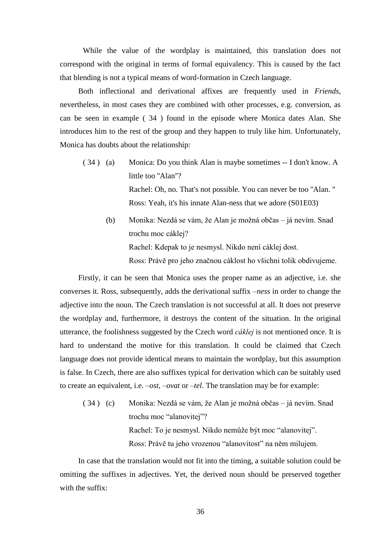While the value of the wordplay is maintained, this translation does not correspond with the original in terms of formal equivalency. This is caused by the fact that blending is not a typical means of word-formation in Czech language.

Both inflectional and derivational affixes are frequently used in *Friends*, nevertheless, in most cases they are combined with other processes, e.g. conversion, as can be seen in example ( 34 ) found in the episode where Monica dates Alan. She introduces him to the rest of the group and they happen to truly like him. Unfortunately, Monica has doubts about the relationship:

- ( 34 ) (a) Monica: Do you think Alan is maybe sometimes -- I don't know. A little too "Alan"? Rachel: Oh, no. That's not possible. You can never be too ''Alan. '' Ross: Yeah, it's his innate Alan-ness that we adore (S01E03)
	- (b) Monika: Nezdá se vám, že Alan je možná občas já nevím. Snad trochu moc cáklej? Rachel: Kdepak to je nesmysl. Nikdo není cáklej dost. Ross: Právě pro jeho značnou cáklost ho všichni tolik obdivujeme.

Firstly, it can be seen that Monica uses the proper name as an adjective, i.e. she converses it. Ross, subsequently, adds the derivational suffix *–ness* in order to change the adjective into the noun. The Czech translation is not successful at all. It does not preserve the wordplay and, furthermore, it destroys the content of the situation. In the original utterance, the foolishness suggested by the Czech word *cáklej* is not mentioned once. It is hard to understand the motive for this translation. It could be claimed that Czech language does not provide identical means to maintain the wordplay, but this assumption is false. In Czech, there are also suffixes typical for derivation which can be suitably used to create an equivalent, i.e. –*ost*, –*ovat* or *–tel*. The translation may be for example:

( 34 ) (c) Monika: Nezdá se vám, že Alan je možná občas – já nevím. Snad trochu moc "alanovitej"? Rachel: To je nesmysl. Nikdo nemůže být moc "alanovitej". Ross: Právě tu jeho vrozenou "alanovitost" na něm milujem.

In case that the translation would not fit into the timing, a suitable solution could be omitting the suffixes in adjectives. Yet, the derived noun should be preserved together with the suffix: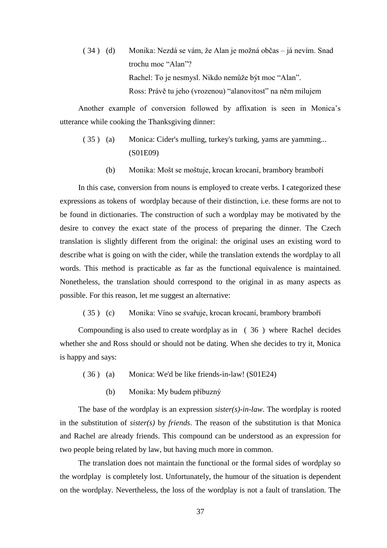( 34 ) (d) Monika: Nezdá se vám, že Alan je možná občas – já nevím. Snad trochu moc "Alan"? Rachel: To je nesmysl. Nikdo nemůže být moc "Alan". Ross: Právě tu jeho (vrozenou) "alanovitost" na něm milujem

Another example of conversion followed by affixation is seen in Monica's utterance while cooking the Thanksgiving dinner:

- ( 35 ) (a) Monica: Cider's mulling, turkey's turking, yams are yamming... (S01E09)
	- (b) Monika: Mošt se moštuje, krocan krocaní, brambory bramboří

In this case, conversion from nouns is employed to create verbs. I categorized these expressions as tokens of wordplay because of their distinction, i.e. these forms are not to be found in dictionaries. The construction of such a wordplay may be motivated by the desire to convey the exact state of the process of preparing the dinner. The Czech translation is slightly different from the original: the original uses an existing word to describe what is going on with the cider, while the translation extends the wordplay to all words. This method is practicable as far as the functional equivalence is maintained. Nonetheless, the translation should correspond to the original in as many aspects as possible. For this reason, let me suggest an alternative:

( 35 ) (c) Monika: Víno se svařuje, krocan krocaní, brambory bramboří

Compounding is also used to create wordplay as in [\( 36](#page-36-0) ) where Rachel decides whether she and Ross should or should not be dating. When she decides to try it, Monica is happy and says:

- <span id="page-36-0"></span>( 36 ) (a) Monica: We'd be like friends-in-law! (S01E24)
	- (b) Monika: My budem příbuzný

The base of the wordplay is an expression *sister(s)-in-law*. The wordplay is rooted in the substitution of *sister(s)* by *friends*. The reason of the substitution is that Monica and Rachel are already friends. This compound can be understood as an expression for two people being related by law, but having much more in common.

The translation does not maintain the functional or the formal sides of wordplay so the wordplay is completely lost. Unfortunately, the humour of the situation is dependent on the wordplay. Nevertheless, the loss of the wordplay is not a fault of translation. The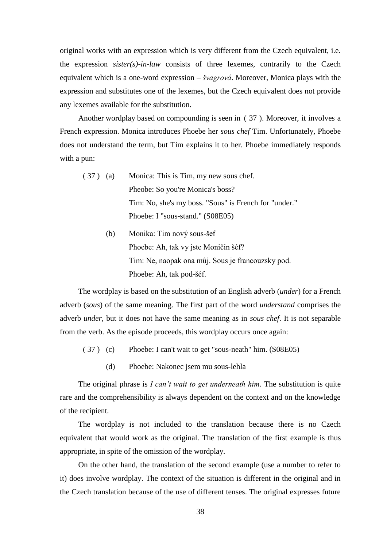original works with an expression which is very different from the Czech equivalent, i.e. the expression *sister(s)-in-law* consists of three lexemes, contrarily to the Czech equivalent which is a one-word expression – *švagrová*. Moreover, Monica plays with the expression and substitutes one of the lexemes, but the Czech equivalent does not provide any lexemes available for the substitution.

Another wordplay based on compounding is seen in [\( 37](#page-37-0) ). Moreover, it involves a French expression. Monica introduces Phoebe her *sous chef* Tim. Unfortunately, Phoebe does not understand the term, but Tim explains it to her. Phoebe immediately responds with a pun:

- <span id="page-37-1"></span><span id="page-37-0"></span>( 37 ) (a) Monica: This is Tim, my new sous chef. Pheobe: So you're Monica's boss? Tim: No, she's my boss. "Sous" is French for "under." Phoebe: I "sous-stand." (S08E05)
	- (b) Monika: Tim nový sous-šef Phoebe: Ah, tak vy jste Moničin šéf? Tim: Ne, naopak ona můj. Sous je francouzsky pod. Phoebe: Ah, tak pod-šéf.

The wordplay is based on the substitution of an English adverb (*under*) for a French adverb (*sous*) of the same meaning. The first part of the word *understand* comprises the adverb *under*, but it does not have the same meaning as in *sous chef*. It is not separable from the verb. As the episode proceeds, this wordplay occurs once again:

- [\( 37](#page-37-1) ) (c) Phoebe: I can't wait to get "sous-neath" him. (S08E05)
	- (d) Phoebe: Nakonec jsem mu sous-lehla

The original phrase is *I can't wait to get underneath him*. The substitution is quite rare and the comprehensibility is always dependent on the context and on the knowledge of the recipient.

The wordplay is not included to the translation because there is no Czech equivalent that would work as the original. The translation of the first example is thus appropriate, in spite of the omission of the wordplay.

On the other hand, the translation of the second example (use a number to refer to it) does involve wordplay. The context of the situation is different in the original and in the Czech translation because of the use of different tenses. The original expresses future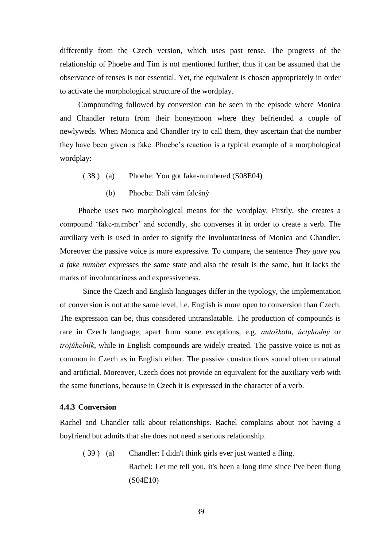differently from the Czech version, which uses past tense. The progress of the relationship of Phoebe and Tim is not mentioned further, thus it can be assumed that the observance of tenses is not essential. Yet, the equivalent is chosen appropriately in order to activate the morphological structure of the wordplay.

Compounding followed by conversion can be seen in the episode where Monica and Chandler return from their honeymoon where they befriended a couple of newlyweds. When Monica and Chandler try to call them, they ascertain that the number they have been given is fake. Phoebe's reaction is a typical example of a morphological wordplay:

- ( 38 ) (a) Phoebe: You got fake-numbered (S08E04)
	- (b) Phoebe: Dali vám falešný

Phoebe uses two morphological means for the wordplay. Firstly, she creates a compound 'fake-number' and secondly, she converses it in order to create a verb. The auxiliary verb is used in order to signify the involuntariness of Monica and Chandler. Moreover the passive voice is more expressive. To compare, the sentence *They gave you a fake number* expresses the same state and also the result is the same, but it lacks the marks of involuntariness and expressiveness.

Since the Czech and English languages differ in the typology, the implementation of conversion is not at the same level, i.e. English is more open to conversion than Czech. The expression can be, thus considered untranslatable. The production of compounds is rare in Czech language, apart from some exceptions, e.g. *autoškola*, *úctyhodný* or *trojúhelník*, while in English compounds are widely created. The passive voice is not as common in Czech as in English either. The passive constructions sound often unnatural and artificial. Moreover, Czech does not provide an equivalent for the auxiliary verb with the same functions, because in Czech it is expressed in the character of a verb.

#### <span id="page-38-0"></span>**4.4.3 Conversion**

Rachel and Chandler talk about relationships. Rachel complains about not having a boyfriend but admits that she does not need a serious relationship.

( 39 ) (a) Chandler: I didn't think girls ever just wanted a fling. Rachel: Let me tell you, it's been a long time since I've been flung (S04E10)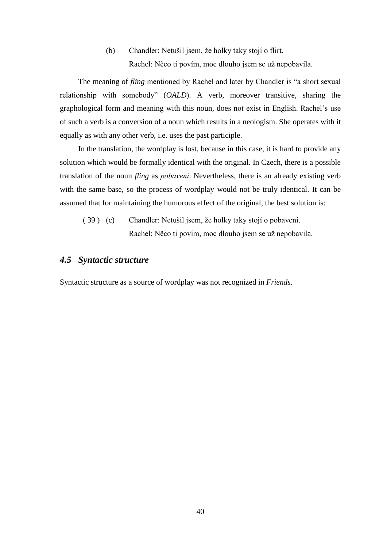(b) Chandler: Netušil jsem, že holky taky stojí o flirt. Rachel: Něco ti povím, moc dlouho jsem se už nepobavila.

The meaning of *fling* mentioned by Rachel and later by Chandler is "a short sexual relationship with somebody" (*OALD*). A verb, moreover transitive, sharing the graphological form and meaning with this noun, does not exist in English. Rachel's use of such a verb is a conversion of a noun which results in a neologism. She operates with it equally as with any other verb, i.e. uses the past participle.

In the translation, the wordplay is lost, because in this case, it is hard to provide any solution which would be formally identical with the original. In Czech, there is a possible translation of the noun *fling* as *pobavení*. Nevertheless, there is an already existing verb with the same base, so the process of wordplay would not be truly identical. It can be assumed that for maintaining the humorous effect of the original, the best solution is:

( 39 ) (c) Chandler: Netušil jsem, že holky taky stojí o pobavení. Rachel: Něco ti povím, moc dlouho jsem se už nepobavila.

# <span id="page-39-0"></span>*4.5 Syntactic structure*

Syntactic structure as a source of wordplay was not recognized in *Friends.*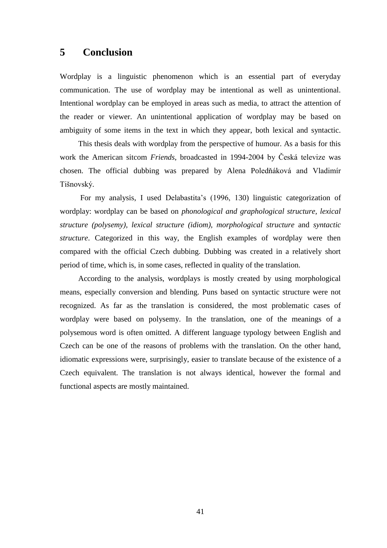# <span id="page-40-0"></span>**5 Conclusion**

Wordplay is a linguistic phenomenon which is an essential part of everyday communication. The use of wordplay may be intentional as well as unintentional. Intentional wordplay can be employed in areas such as media, to attract the attention of the reader or viewer. An unintentional application of wordplay may be based on ambiguity of some items in the text in which they appear, both lexical and syntactic.

This thesis deals with wordplay from the perspective of humour. As a basis for this work the American sitcom *Friends*, broadcasted in 1994-2004 by Česká televize was chosen. The official dubbing was prepared by Alena Poledňáková and Vladimír Tišnovský.

For my analysis, I used Delabastita's (1996, 130) linguistic categorization of wordplay: wordplay can be based on *phonological and graphological structure, lexical structure (polysemy), lexical structure (idiom), morphological structure* and *syntactic structure*. Categorized in this way, the English examples of wordplay were then compared with the official Czech dubbing. Dubbing was created in a relatively short period of time, which is, in some cases, reflected in quality of the translation.

According to the analysis, wordplays is mostly created by using morphological means, especially conversion and blending. Puns based on syntactic structure were not recognized. As far as the translation is considered, the most problematic cases of wordplay were based on polysemy. In the translation, one of the meanings of a polysemous word is often omitted. A different language typology between English and Czech can be one of the reasons of problems with the translation. On the other hand, idiomatic expressions were, surprisingly, easier to translate because of the existence of a Czech equivalent. The translation is not always identical, however the formal and functional aspects are mostly maintained.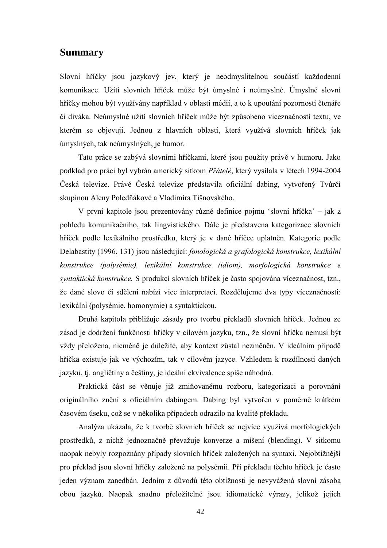# <span id="page-41-0"></span>**Summary**

Slovní hříčky jsou jazykový jev, který je neodmyslitelnou součástí každodenní komunikace. Užití slovních hříček může být úmyslné i neúmyslné. Úmyslné slovní hříčky mohou být využívány například v oblasti médií, a to k upoutání pozornosti čtenáře či diváka. Neúmyslné užití slovních hříček může být způsobeno víceznačností textu, ve kterém se objevují. Jednou z hlavních oblastí, která využívá slovních hříček jak úmyslných, tak neúmyslných, je humor.

Tato práce se zabývá slovními hříčkami, které jsou použity právě v humoru. Jako podklad pro práci byl vybrán americký sitkom *Přátelé*, který vysílala v létech 1994-2004 Česká televize. Právě Česká televize představila oficiální dabing, vytvořený Tvůrčí skupinou Aleny Poledňákové a Vladimíra Tišnovského.

V první kapitole jsou prezentovány různé definice pojmu 'slovní hříčka' – jak z pohledu komunikačního, tak lingvistického. Dále je představena kategorizace slovních hříček podle lexikálního prostředku, který je v dané hříčce uplatněn. Kategorie podle Delabastity (1996, 131) jsou následující: *fonologická a grafologická konstrukce, lexikální konstrukce (polysémie), lexikální konstrukce (idiom), morfologická konstrukce* a *syntaktická konstrukce.* S produkcí slovních hříček je často spojována víceznačnost, tzn., že dané slovo či sdělení nabízí vice interpretací. Rozdělujeme dva typy víceznačnosti: lexikální (polysémie, homonymie) a syntaktickou.

Druhá kapitola přibližuje zásady pro tvorbu překladů slovních hříček. Jednou ze zásad je dodržení funkčnosti hříčky v cílovém jazyku, tzn., že slovní hříčka nemusí být vždy přeložena, nicméně je důležité, aby kontext zůstal nezměněn. V ideálním případě hříčka existuje jak ve výchozím, tak v cílovém jazyce. Vzhledem k rozdílnosti daných jazyků, tj. angličtiny a češtiny, je ideální ekvivalence spíše náhodná.

Praktická část se věnuje již zmiňovanému rozboru, kategorizaci a porovnání originálního znění s oficiálním dabingem. Dabing byl vytvořen v poměrně krátkém časovém úseku, což se v několika případech odrazilo na kvalitě překladu.

Analýza ukázala, že k tvorbě slovních hříček se nejvíce využívá morfologických prostředků, z nichž jednoznačně převažuje konverze a míšení (blending). V sitkomu naopak nebyly rozpoznány případy slovních hříček založených na syntaxi. Nejobtížnější pro překlad jsou slovní hříčky založené na polysémii. Při překladu těchto hříček je často jeden význam zanedbán. Jedním z důvodů této obtížnosti je nevyvážená slovní zásoba obou jazyků. Naopak snadno přeložitelné jsou idiomatické výrazy, jelikož jejich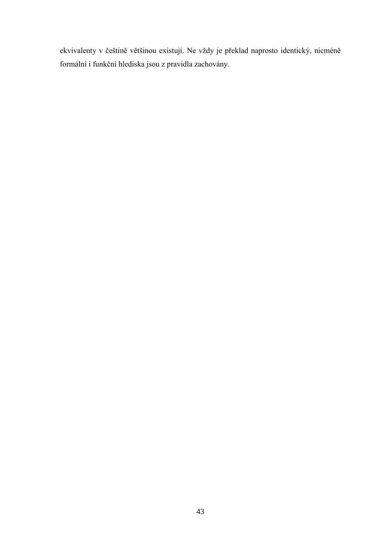ekvivalenty v češtině většinou existují. Ne vždy je překlad naprosto identický, nicméně formální i funkční hlediska jsou z pravidla zachovány.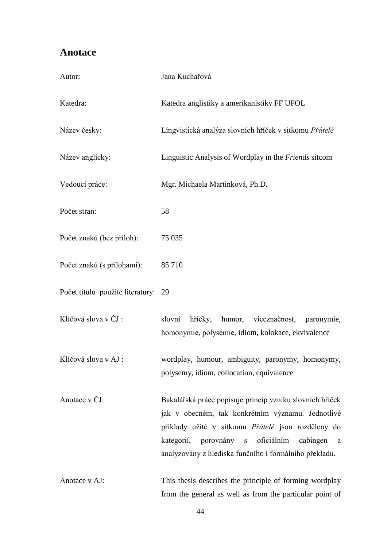# <span id="page-43-0"></span>**Anotace**

| Autor:                              | Jana Kuchařová                                                                                                                                                                                                                                                                |
|-------------------------------------|-------------------------------------------------------------------------------------------------------------------------------------------------------------------------------------------------------------------------------------------------------------------------------|
| Katedra:                            | Katedra anglistiky a amerikanistiky FF UPOL                                                                                                                                                                                                                                   |
| Název česky:                        | Lingvistická analýza slovních hříček v sitkomu Přátelé                                                                                                                                                                                                                        |
| Název anglicky:                     | Linguistic Analysis of Wordplay in the Friends sitcom                                                                                                                                                                                                                         |
| Vedoucí práce:                      | Mgr. Michaela Martinková, Ph.D.                                                                                                                                                                                                                                               |
| Počet stran:                        | 58                                                                                                                                                                                                                                                                            |
| Počet znaků (bez příloh):           | 75 0 35                                                                                                                                                                                                                                                                       |
| Počet znaků (s přílohami):          | 85 710                                                                                                                                                                                                                                                                        |
| Počet titulů použité literatury: 29 |                                                                                                                                                                                                                                                                               |
| Klíčová slova v ČJ:                 | slovní<br>humor, víceznačnost,<br>hříčky,<br>paronymie,<br>homonymie, polysémie, idiom, kolokace, ekvivalence                                                                                                                                                                 |
| Klíčová slova v AJ :                | wordplay, humour, ambiguity, paronymy, homonymy,<br>polysemy, idiom, collocation, equivalence                                                                                                                                                                                 |
| Anotace v ČJ:                       | Bakalářská práce popisuje princip vzniku slovních hříček<br>jak v obecném, tak konkrétním významu. Jednotlivé<br>příklady užité v sitkomu Přátelé jsou rozděleny do<br>kategorií, porovnány s oficiálním dabingen a<br>analyzovány z hlediska funčního i formálního překladu. |
| Anotace v AJ:                       | This thesis describes the principle of forming wordplay<br>from the general as well as from the particular point of                                                                                                                                                           |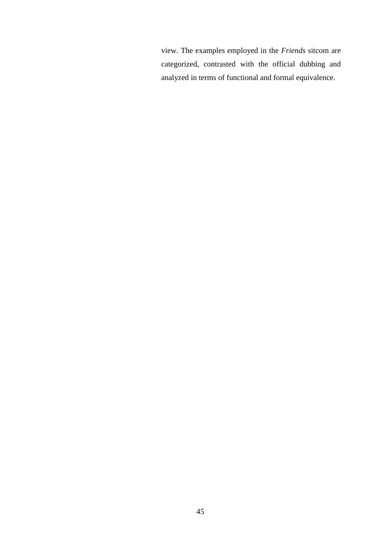view. The examples employed in the *Friends* sitcom are categorized, contrasted with the official dubbing and analyzed in terms of functional and formal equivalence.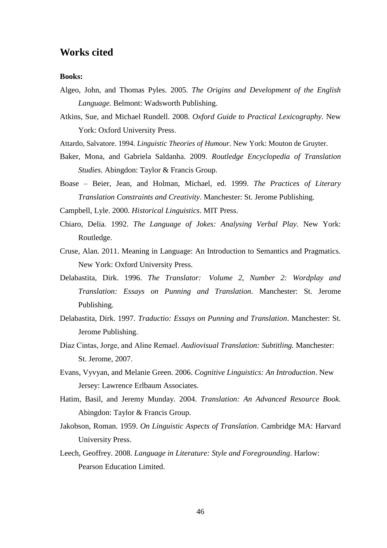# <span id="page-45-0"></span>**Works cited**

#### **Books:**

- Algeo, John, and Thomas Pyles. 2005. *The Origins and Development of the English Language.* Belmont: Wadsworth Publishing.
- Atkins, Sue, and Michael Rundell. 2008. *Oxford Guide to Practical Lexicography.* New York: Oxford University Press.
- Attardo, Salvatore. 1994. *Linguistic Theories of Humour.* New York: Mouton de Gruyter.
- Baker, Mona, and Gabriela Saldanha. 2009. *Routledge Encyclopedia of Translation Studies.* Abingdon: Taylor & Francis Group.
- Boase Beier, Jean, and Holman, Michael, ed. 1999. *The Practices of Literary Translation Constraints and Creativity*. Manchester: St. Jerome Publishing.
- Campbell, Lyle. 2000. *Historical Linguistics*. MIT Press.
- Chiaro, Delia. 1992. *The Language of Jokes: Analysing Verbal Play.* New York: Routledge.
- Cruse, Alan. 2011. Meaning in Language: An Introduction to Semantics and Pragmatics. New York: Oxford University Press.
- Delabastita, Dirk. 1996. *The Translator: Volume 2, Number 2: Wordplay and Translation: Essays on Punning and Translation*. Manchester: St. Jerome Publishing.
- Delabastita, Dirk. 1997. *Traductio: Essays on Punning and Translation*. Manchester: St. Jerome Publishing.
- Díaz Cintas, Jorge, and Aline Remael. *Audiovisual Translation: Subtitling.* Manchester: St. Jerome, 2007.
- Evans, Vyvyan, and Melanie Green. 2006. *Cognitive Linguistics: An Introduction*. New Jersey: Lawrence Erlbaum Associates.
- Hatim, Basil, and Jeremy Munday. 2004. *Translation: An Advanced Resource Book.*  Abingdon: Taylor & Francis Group.
- Jakobson, Roman. 1959. *On Linguistic Aspects of Translation*. Cambridge MA: Harvard University Press.
- Leech, Geoffrey. 2008. *Language in Literature: Style and Foregrounding*. Harlow: Pearson Education Limited.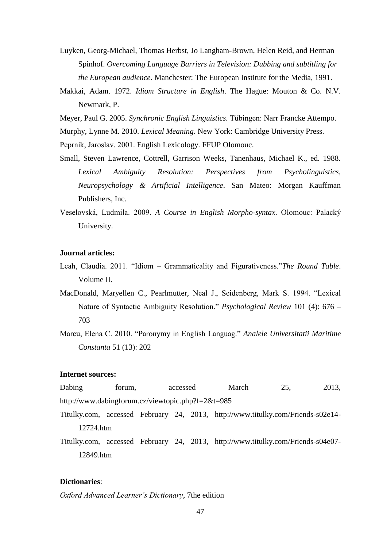- Luyken, Georg-Michael, Thomas Herbst, Jo Langham-Brown, Helen Reid, and Herman Spinhof. *Overcoming Language Barriers in Television: Dubbing and subtitling for the European audience.* Manchester: The European Institute for the Media, 1991.
- Makkai, Adam. 1972. *Idiom Structure in English*. The Hague: Mouton & Co. N.V. Newmark, P.

Meyer, Paul G. 2005. *Synchronic English Linguistics.* Tübingen: Narr Francke Attempo.

Murphy, Lynne M. 2010. *Lexical Meaning*. New York: Cambridge University Press.

Peprník, Jaroslav. 2001. English Lexicology. FFUP Olomouc.

- Small, Steven Lawrence, Cottrell, Garrison Weeks, Tanenhaus, Michael K., ed. 1988. *Lexical Ambiguity Resolution: Perspectives from Psycholinguistics, Neuropsychology & Artificial Intelligence*. San Mateo: Morgan Kauffman Publishers, Inc.
- Veselovská, Ludmila. 2009. *A Course in English Morpho-syntax*. Olomouc: Palacký University.

#### **Journal articles:**

- Leah, Claudia. 2011. "Idiom Grammaticality and Figurativeness."*The Round Table*. Volume II.
- MacDonald, Maryellen C., Pearlmutter, Neal J., Seidenberg, Mark S. 1994. "Lexical Nature of Syntactic Ambiguity Resolution." *Psychological Review* 101 (4): 676 – 703
- Marcu, Elena C. 2010. "Paronymy in English Languag." *Analele Universitatii Maritime Constanta* 51 (13): 202

#### **Internet sources:**

- Dabing forum, accessed March 25, 2013, http://www.dabingforum.cz/viewtopic.php?f=2&t=985
- Titulky.com, accessed February 24, 2013, http://www.titulky.com/Friends-s02e14- 12724.htm
- Titulky.com, accessed February 24, 2013, http://www.titulky.com/Friends-s04e07- 12849.htm

#### **Dictionaries**:

*Oxford Advanced Learner's Dictionary*, 7the edition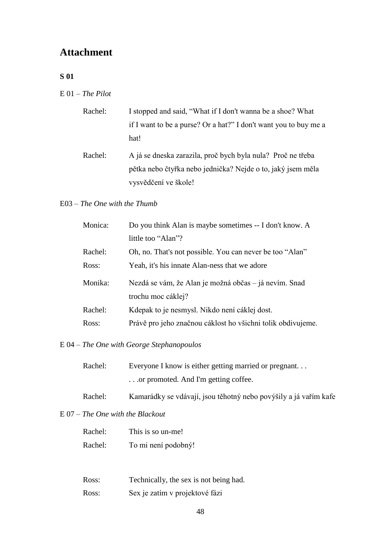# <span id="page-47-0"></span>**Attachment**

## **S 01**

E 01 – *The Pilot*

| Rachel: | I stopped and said, "What if I don't wanna be a shoe? What                                                                 |
|---------|----------------------------------------------------------------------------------------------------------------------------|
|         | if I want to be a purse? Or a hat?" I don't want you to buy me a                                                           |
|         | hat!                                                                                                                       |
| Rachel: | A já se dneska zarazila, proč bych byla nula? Proč ne třeba<br>pětka nebo čtyřka nebo jednička? Nejde o to, jaký jsem měla |
|         | vysvědčení ve škole!                                                                                                       |

## E03 – *The One with the Thumb*

| Monica: | Do you think Alan is maybe sometimes -- I don't know. A     |
|---------|-------------------------------------------------------------|
|         | little too "Alan"?                                          |
| Rachel: | Oh, no. That's not possible. You can never be too "Alan"    |
| Ross:   | Yeah, it's his innate Alan-ness that we adore               |
| Monika: | Nezdá se vám, že Alan je možná občas – já nevím. Snad       |
|         | trochu moc cáklej?                                          |
| Rachel: | Kdepak to je nesmysl. Nikdo není cáklej dost.               |
| Ross:   | Právě pro jeho značnou cáklost ho všichni tolik obdivujeme. |
|         |                                                             |

# E 04 – *The One with George Stephanopoulos*

| Rachel: | Everyone I know is either getting married or pregnant |
|---------|-------------------------------------------------------|
|         | or promoted. And I'm getting coffee.                  |

Rachel: Kamarádky se vdávají, jsou těhotný nebo povýšily a já vařím kafe

## E 07 – *The One with the Blackout*

| Rachel: | This is so un-me!   |
|---------|---------------------|
| Rachel: | To mi není podobný! |

| Ross: | Technically, the sex is not being had. |
|-------|----------------------------------------|
| Ross: | Sex je zatím v projektové fázi         |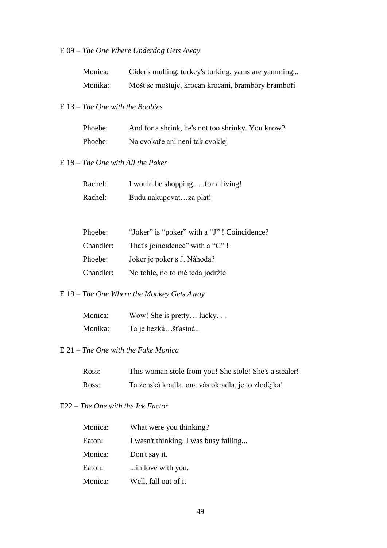# E 09 – *The One Where Underdog Gets Away*

| Monica: | Cider's mulling, turkey's turking, yams are yamming |
|---------|-----------------------------------------------------|
| Monika: | Mošt se moštuje, krocan krocaní, brambory bramboří  |

#### E 13 – *The One with the Boobies*

| Phoebe: | And for a shrink, he's not too shrinky. You know? |
|---------|---------------------------------------------------|
| Phoebe: | Na cvokaře ani není tak cvoklej                   |

# E 18 – *The One with All the Poker*

| Rachel: | I would be shopping for a living! |
|---------|-----------------------------------|
| Rachel: | Budu nakupovatza plat!            |

| Phoebe:   | "Joker" is "poker" with a "J"! Coincidence?" |
|-----------|----------------------------------------------|
| Chandler: | That's joincidence" with a "C"!              |
| Phoebe:   | Joker je poker s J. Náhoda?                  |
| Chandler: | No tohle, no to mě teda jodržte              |

## E 19 – *The One Where the Monkey Gets Away*

| Monica: | Wow! She is pretty lucky |
|---------|--------------------------|
| Monika: | Ta je hezkášťastná       |

## E 21 – *The One with the Fake Monica*

| Ross: | This woman stole from you! She stole! She's a stealer! |
|-------|--------------------------------------------------------|
| Ross: | Ta ženská kradla, ona vás okradla, je to zlodějka!     |

### E22 – *The One with the Ick Factor*

| Monica: | What were you thinking?               |
|---------|---------------------------------------|
| Eaton:  | I wasn't thinking. I was busy falling |
| Monica: | Don't say it.                         |
| Eaton:  | in love with you.                     |
| Monica: | Well, fall out of it                  |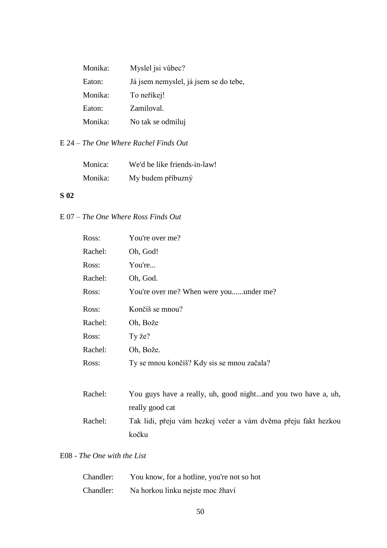| Monika: | Myslel jsi vůbec?                     |
|---------|---------------------------------------|
| Eaton:  | Já jsem nemyslel, já jsem se do tebe, |
| Monika: | To neříkej!                           |
| Eaton:  | Zamiloval.                            |
| Monika: | No tak se odmiluj                     |

## E 24 – *The One Where Rachel Finds Out*

| Monica: | We'd be like friends-in-law! |
|---------|------------------------------|
| Monika: | My budem příbuzný            |

## **S 02**

E 07 – *The One Where Ross Finds Out*

| Ross:   | You're over me?                        |
|---------|----------------------------------------|
| Rachel: | Oh, God!                               |
| Ross:   | You're                                 |
| Rachel: | Oh, God.                               |
| Ross:   | You're over me? When were youunder me? |
| Ross:   | Končíš se mnou?                        |
| Rachel: | Oh, Bože                               |
| Ross:   | Ty že?                                 |
|         |                                        |
| Rachel: | Oh, Bože.                              |

| Rachel: | You guys have a really, uh, good nightand you two have a, uh,  |
|---------|----------------------------------------------------------------|
|         | really good cat                                                |
| Rachel: | Tak lidi, přeju vám hezkej večer a vám dvěma přeju fakt hezkou |
|         | kočku                                                          |

## E08 - *The One with the List*

| Chandler: | You know, for a hotline, you're not so hot |
|-----------|--------------------------------------------|
| Chandler: | Na horkou linku nejste moc žhaví           |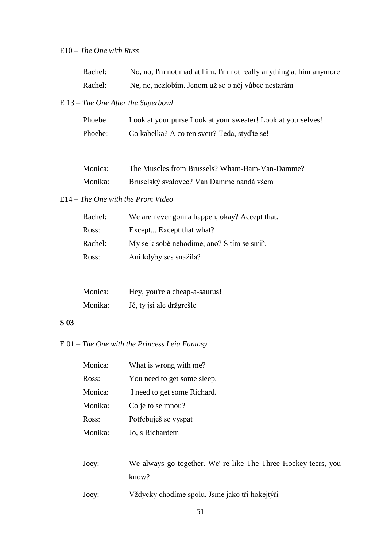## E10 – *The One with Russ*

| Rachel: | No, no, I'm not mad at him. I'm not really anything at him anymore |
|---------|--------------------------------------------------------------------|
| Rachel: | Ne, ne, nezlobím. Jenom už se o něj vůbec nestarám                 |

## E 13 – *The One After the Superbowl*

| Phoebe: | Look at your purse Look at your sweater! Look at yourselves! |
|---------|--------------------------------------------------------------|
| Phoebe: | Co kabelka? A co ten svetr? Teda, styd'te se!                |

| Monica: | The Muscles from Brussels? Wham-Bam-Van-Damme? |
|---------|------------------------------------------------|
| Monika: | Bruselský svalovec? Van Damme nandá všem       |

#### E14 – *The One with the Prom Video*

| Rachel: | We are never gonna happen, okay? Accept that. |
|---------|-----------------------------------------------|
| Ross:   | Except Except that what?                      |
| Rachel: | My se k sobě nehodíme, ano? S tím se smiř.    |
| Ross:   | Ani kdyby ses snažila?                        |

| Monica: | Hey, you're a cheap-a-saurus! |
|---------|-------------------------------|
| Monika: | Jé, ty jsi ale držgrešle      |

#### **S 03**

E 01 – *The One with the Princess Leia Fantasy*

| Monica: | What is wrong with me?                                         |
|---------|----------------------------------------------------------------|
| Ross:   | You need to get some sleep.                                    |
| Monica: | I need to get some Richard.                                    |
| Monika: | Co je to se mnou?                                              |
| Ross:   | Potřebuješ se vyspat                                           |
| Monika: | Jo, s Richardem                                                |
|         |                                                                |
| Joey:   | We always go together. We' re like The Three Hockey-teers, you |
|         | know?                                                          |
| Joey:   | Vždycky chodíme spolu. Jsme jako tři hokejtýři                 |
|         |                                                                |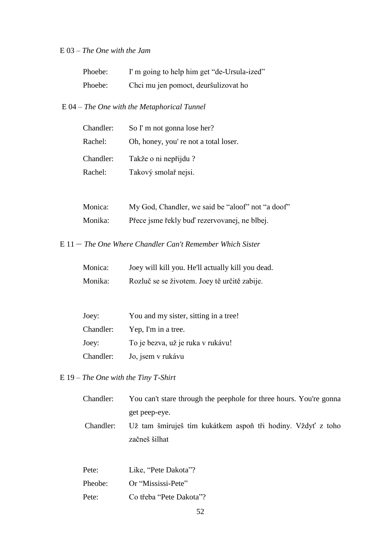## E 03 – *The One with the Jam*

| Phoebe: | I'm going to help him get "de-Ursula-ized" |
|---------|--------------------------------------------|
| Phoebe: | Chci mu jen pomoct, deuršulizovat ho       |

# E 04 – *The One with the Metaphorical Tunnel*

| Chandler: | So I'm not gonna lose her?           |
|-----------|--------------------------------------|
| Rachel:   | Oh, honey, you're not a total loser. |
| Chandler: | Takže o ni nepřijdu?                 |
| Rachel:   | Takový smolař nejsi.                 |

| Monica: | My God, Chandler, we said be "aloof" not "a doof" |
|---------|---------------------------------------------------|
| Monika: | Přece jsme řekly buď rezervovanej, ne blbej.      |

E 11 *– The One Where Chandler Can't Remember Which Sister*

| Monica: | Joey will kill you. He'll actually kill you dead. |
|---------|---------------------------------------------------|
| Monika: | Rozluč se se životem. Joey tě určitě zabije.      |

| Joey:     | You and my sister, sitting in a tree! |
|-----------|---------------------------------------|
| Chandler: | Yep, I'm in a tree.                   |
| Joey:     | To je bezva, už je ruka v rukávu!     |
| Chandler: | Jo, jsem v rukávu                     |

E 19 – *The One with the Tiny T-Shirt*

| Chandler: | You can't stare through the peephole for three hours. You're gonna |
|-----------|--------------------------------------------------------------------|
|           | get peep-eye.                                                      |
| Chandler: | Už tam šmíruješ tím kukátkem aspoň tři hodiny. Vždyť z toho        |
|           | začneš šilhat                                                      |
|           |                                                                    |

| Pete:   | Like, "Pete Dakota"?    |
|---------|-------------------------|
| Pheobe: | Or "Mississi-Pete"      |
| Pete:   | Co třeba "Pete Dakota"? |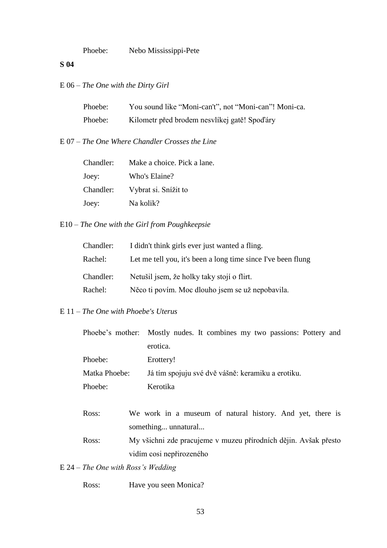Phoebe: Nebo Mississippi-Pete

#### **S 04**

E 06 – *The One with the Dirty Girl*

| Phoebe: | You sound like "Moni-can't", not "Moni-can"! Moni-ca. |
|---------|-------------------------------------------------------|
| Phoebe: | Kilometr před brodem nesvlíkej gatě! Spodáry          |

E 07 – *The One Where Chandler Crosses the Line*

| Chandler: | Make a choice. Pick a lane. |
|-----------|-----------------------------|
| Joey:     | Who's Elaine?               |
| Chandler: | Vybrat si. Snížit to        |
| Joey:     | Na kolik?                   |

# E10 – *The One with the Girl from Poughkeepsie*

| Chandler: | I didn't think girls ever just wanted a fling.               |
|-----------|--------------------------------------------------------------|
| Rachel:   | Let me tell you, it's been a long time since I've been flung |
| Chandler: | Netušil jsem, že holky taky stojí o flirt.                   |
| Rachel:   | Něco ti povím. Moc dlouho jsem se už nepobavila.             |

#### E 11 – *The One with Phoebe's Uterus*

|               | Phoebe's mother: Mostly nudes. It combines my two passions: Pottery and |
|---------------|-------------------------------------------------------------------------|
|               | erotica.                                                                |
| Phoebe:       | Erottery!                                                               |
| Matka Phoebe: | Já tím spojuju své dvě vášně: keramiku a erotiku.                       |
| Phoebe:       | Kerotika                                                                |

- Ross: We work in a museum of natural history. And yet, there is something... unnatural...
- Ross: My všichni zde pracujeme v muzeu přírodních dějin. Avšak přesto vidím cosi nepřirozeného

# E 24 – *The One with Ross's Wedding*

Ross: Have you seen Monica?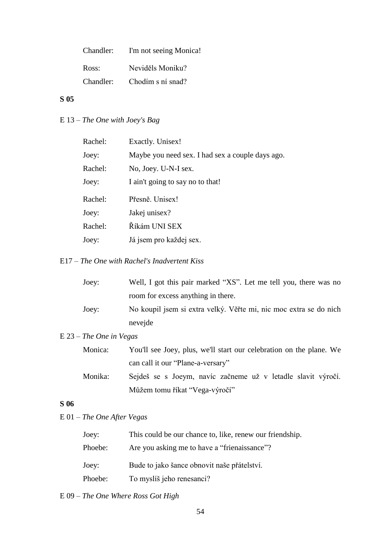| Chandler: | I'm not seeing Monica! |
|-----------|------------------------|
| Ross:     | Neviděls Moniku?       |
| Chandler: | Chodím s ní snad?      |

# **S 05**

E 13 – *The One with Joey's Bag*

| Rachel: | Exactly. Unisex!                                 |
|---------|--------------------------------------------------|
| Joey:   | Maybe you need sex. I had sex a couple days ago. |
| Rachel: | No, Joey. U-N-I sex.                             |
| Joey:   | I ain't going to say no to that!                 |
| Rachel: | Přesně. Unisex!                                  |
| Joey:   | Jakej unisex?                                    |
| Rachel: | Říkám UNI SEX                                    |
| Joey:   | Já jsem pro každej sex.                          |
|         |                                                  |

# E17 – *The One with Rachel's Inadvertent Kiss*

| Joey: | Well, I got this pair marked "XS". Let me tell you, there was no  |
|-------|-------------------------------------------------------------------|
|       | room for excess anything in there.                                |
| Joey: | No koupil jsem si extra velký. Věřte mi, nic moc extra se do nich |
|       | nevejde                                                           |

# E 23 – *The One in Vegas*

| Monica: | You'll see Joey, plus, we'll start our celebration on the plane. We |
|---------|---------------------------------------------------------------------|
|         | can call it our "Plane-a-versary"                                   |

Monika: Sejdeš se s Joeym, navíc začneme už v letadle slavit výročí. Můžem tomu říkat "Vega-výročí"

# **S 06**

E 01 – *The One After Vegas*

| Joey:   | This could be our chance to, like, renew our friendship. |
|---------|----------------------------------------------------------|
| Phoebe: | Are you asking me to have a "frienaissance"?             |
| Joey:   | Bude to jako šance obnovit naše přátelství.              |
| Phoebe: | To myslíš jeho renesanci?                                |

# E 09 – *The One Where Ross Got High*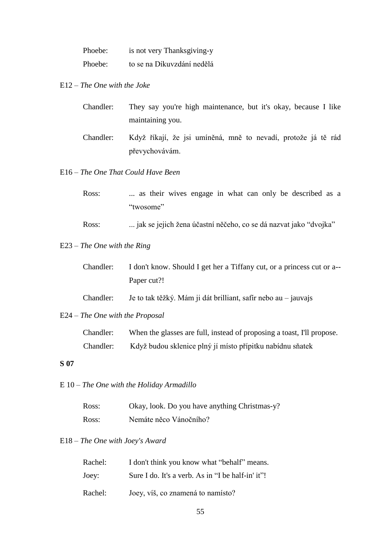| Phoebe: | is not very Thanksgiving-y |
|---------|----------------------------|
| Phoebe: | to se na Díkuvzdání nedělá |

E12 – *The One with the Joke*

| Chandler: | They say you're high maintenance, but it's okay, because I like |
|-----------|-----------------------------------------------------------------|
|           | maintaining you.                                                |
|           |                                                                 |

Chandler: Když říkají, že jsi umíněná, mně to nevadí, protože já tě rád převychovávám.

E16 – *The One That Could Have Been*

| Ross: |  |           |  |  |  | as their wives engage in what can only be described as a |  |
|-------|--|-----------|--|--|--|----------------------------------------------------------|--|
|       |  | "twosome" |  |  |  |                                                          |  |
|       |  |           |  |  |  |                                                          |  |

Ross: ... jak se jejich žena účastní něčeho, co se dá nazvat jako "dvojka"

# E23 – *The One with the Ring*

| Chandler: | I don't know. Should I get her a Tiffany cut, or a princess cut or a-- |
|-----------|------------------------------------------------------------------------|
|           | Paper cut?!                                                            |

Chandler: Je to tak těžký. Mám ji dát brilliant, safír nebo au – jauvajs

#### E24 – *The One with the Proposal*

| Chandler: | When the glasses are full, instead of proposing a toast, I'll propose. |
|-----------|------------------------------------------------------------------------|
| Chandler: | Když budou sklenice plný jí místo přípitku nabídnu sňatek              |

#### **S 07**

E 10 – *The One with the Holiday Armadillo*

| Ross: | Okay, look. Do you have anything Christmas-y? |
|-------|-----------------------------------------------|
| Ross: | Nemáte něco Vánočního?                        |

## E18 – *The One with Joey's Award*

| Rachel: | I don't think you know what "behalf" means.       |
|---------|---------------------------------------------------|
| Joey:   | Sure I do. It's a verb. As in "I be half-in' it"! |
| Rachel: | Joey, víš, co znamená to namísto?                 |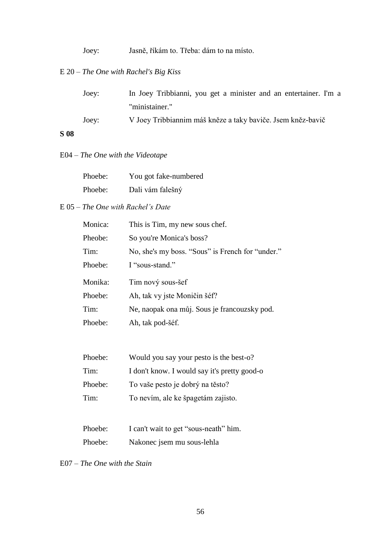Joey: Jasně, říkám to. Třeba: dám to na místo.

# E 20 – *The One with Rachel's Big Kiss*

| Joey: | In Joey Tribbianni, you get a minister and an entertainer. I'm a |
|-------|------------------------------------------------------------------|
|       | "ministainer."                                                   |
| Joey: | V Joey Tribbiannim máš kněze a taky baviče. Jsem kněz-bavič      |

# **S 08**

# E04 – *The One with the Videotape*

| Phoebe: | You got fake-numbered |
|---------|-----------------------|
| Phoebe: | Dali vám falešný      |

## E 05 – *The One with Rachel's Date*

| Monica: | This is Tim, my new sous chef.                   |
|---------|--------------------------------------------------|
| Pheobe: | So you're Monica's boss?                         |
| Tim:    | No, she's my boss. "Sous" is French for "under." |
| Phoebe: | I "sous-stand."                                  |
| Monika: | Tim nový sous-šef                                |
| Phoebe: | Ah, tak vy jste Moničin šéf?                     |
|         |                                                  |
| Tim:    | Ne, naopak ona můj. Sous je francouzsky pod.     |
| Phoebe: | Ah, tak pod-šéf.                                 |

| Phoebe: | Would you say your pesto is the best-o?      |
|---------|----------------------------------------------|
| Tim:    | I don't know. I would say it's pretty good-o |
| Phoebe: | To vaše pesto je dobrý na těsto?             |
| Tim:    | To nevím, ale ke špagetám zajisto.           |
|         |                                              |

| Phoebe: | I can't wait to get "sous-neath" him. |
|---------|---------------------------------------|
| Phoebe: | Nakonec jsem mu sous-lehla            |

E07 – *The One with the Stain*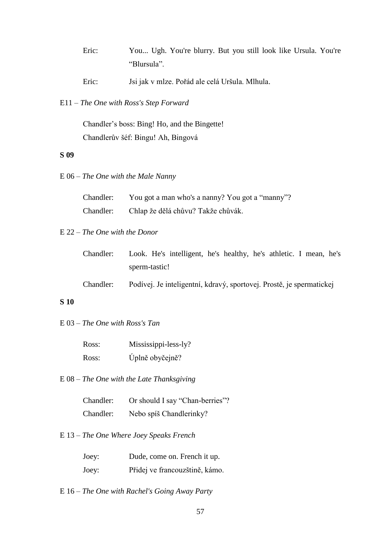| Eric: |             |  |  |  |  | You Ugh. You're blurry. But you still look like Ursula. You're |  |
|-------|-------------|--|--|--|--|----------------------------------------------------------------|--|
|       | "Blursula". |  |  |  |  |                                                                |  |

Eric: Jsi jak v mlze. Pořád ale celá Uršula. Mlhula.

E11 – *The One with Ross's Step Forward*

Chandler's boss: Bing! Ho, and the Bingette! Chandlerův šéf: Bingu! Ah, Bingová

## **S 09**

E 06 – *The One with the Male Nanny*

| Chandler: | You got a man who's a nanny? You got a "manny"? |
|-----------|-------------------------------------------------|
| Chandler: | Chlap že dělá chůvu? Takže chůvák.              |

## E 22 – *The One with the Donor*

| Chandler: |               | Look. He's intelligent, he's healthy, he's athletic. I mean, he's |  |  |  |  |
|-----------|---------------|-------------------------------------------------------------------|--|--|--|--|
|           | sperm-tastic! |                                                                   |  |  |  |  |

Chandler: Podívej. Je inteligentní, kdravý, sportovej. Prostě, je spermatickej

#### **S 10**

E 03 – *The One with Ross's Tan*

| Ross: | Mississippi-less-ly? |
|-------|----------------------|
| Ross: | Úplně obyčejně?      |

E 08 – *The One with the Late Thanksgiving*

Chandler: Or should I say "Chan-berries"? Chandler: Nebo spíš Chandlerinky?

E 13 – *The One Where Joey Speaks French*

| Joey: | Dude, come on. French it up.   |
|-------|--------------------------------|
| Joey: | Přidej ve francouzštině, kámo. |

E 16 – *The One with Rachel's Going Away Party*